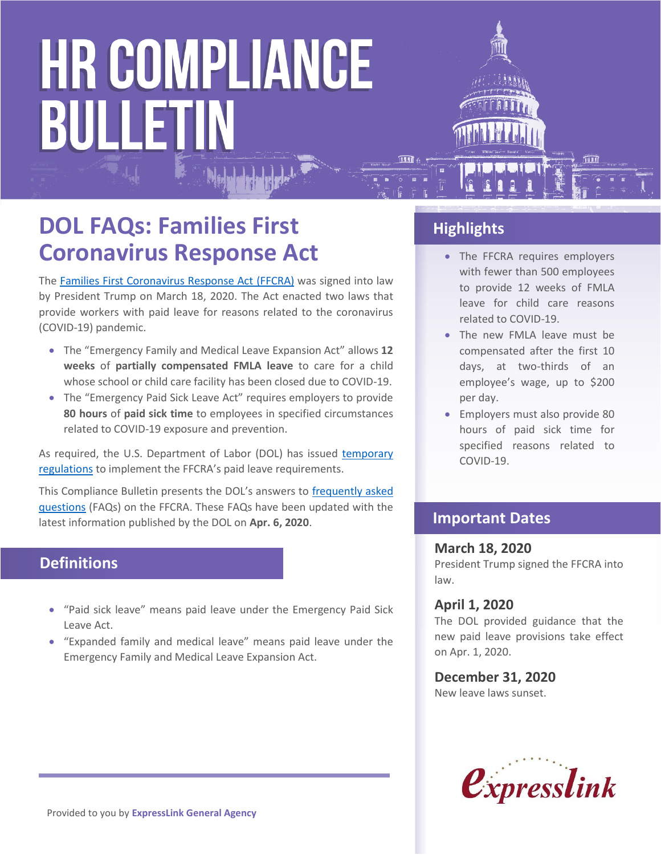

The Families First Coronavirus Response Act (FFCRA) was signed into law by President Trump on March 18, 2020. The Act enacted two laws that provide workers with paid leave for reasons related to the coronavirus (COVID-19) pandemic.

- The "Emergency Family and Medical Leave Expansion Act" allows **12 weeks** of **partially compensated FMLA leave** to care for a child whose school or child care facility has been closed due to COVID-19.
- The "Emergency Paid Sick Leave Act" requires employers to provide **80 hours** of **paid sick time** to employees in specified circumstances related to COVID-19 exposure and prevention.

As required, the U.S. Department of Labor (DOL) has issued [temporary](https://www.dol.gov/agencies/whd/ffcra)  [regulations](https://www.dol.gov/agencies/whd/ffcra) to implement the FFCRA's paid leave requirements.

This Compliance Bulletin presents the DOL's answers to [frequently asked](https://www.dol.gov/agencies/whd/pandemic/ffcra-questions)  [questions](https://www.dol.gov/agencies/whd/pandemic/ffcra-questions) (FAQs) on the FFCRA. These FAQs have been updated with the latest information published by the DOL on **Apr. 6, 2020**.

#### **Definitions**

- "Paid sick leave" means paid leave under the Emergency Paid Sick Leave Act.
- "Expanded family and medical leave" means paid leave under the Emergency Family and Medical Leave Expansion Act.

#### **Highlights**

- The FFCRA requires employers with fewer than 500 employees to provide 12 weeks of FMLA leave for child care reasons related to COVID-19.
- The new FMLA leave must be compensated after the first 10 days, at two-thirds of an employee's wage, up to \$200 per day.
- Employers must also provide 80 hours of paid sick time for specified reasons related to COVID-19.

#### **Important Dates**

#### **March 18, 2020**

President Trump signed the FFCRA into law.

#### **April 1, 2020**

The DOL provided guidance that the new paid leave provisions take effect on Apr. 1, 2020.

#### **December 31, 2020**

New leave laws sunset.

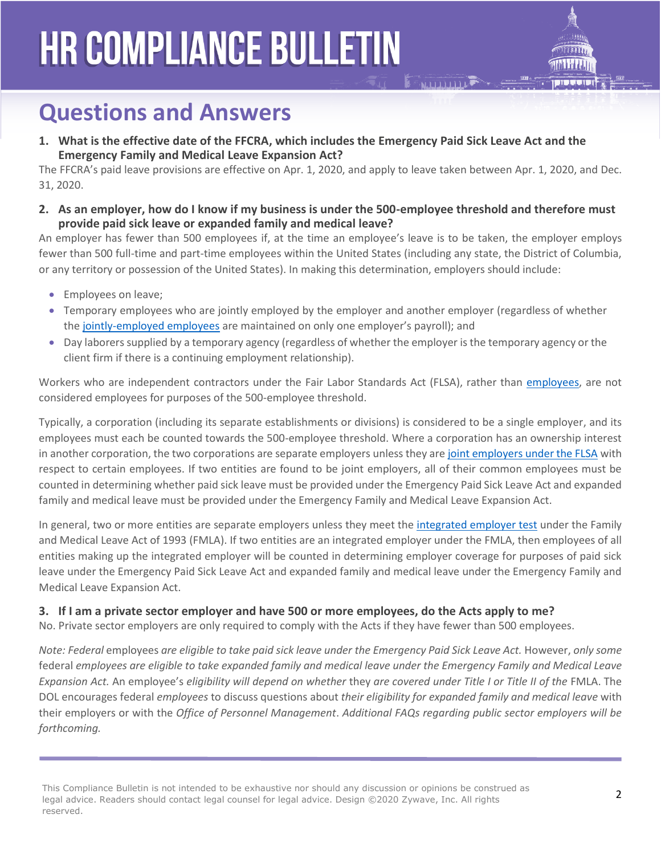### **Questions and Answers**

**1. What is the effective date of the FFCRA, which includes the Emergency Paid Sick Leave Act and the Emergency Family and Medical Leave Expansion Act?**

The FFCRA's paid leave provisions are effective on Apr. 1, 2020, and apply to leave taken between Apr. 1, 2020, and Dec. 31, 2020.

**2. As an employer, how do I know if my business is under the 500-employee threshold and therefore must provide paid sick leave or expanded family and medical leave?**

An employer has fewer than 500 employees if, at the time an employee's leave is to be taken, the employer employs fewer than 500 full-time and part-time employees within the United States (including any state, the District of Columbia, or any territory or possession of the United States). In making this determination, employers should include:

- Employees on leave;
- Temporary employees who are jointly employed by the employer and another employer (regardless of whether the [jointly-employed](https://www.dol.gov/agencies/whd/flsa/2020-joint-employment/fact-sheet) employees are maintained on only one employer's payroll); and
- Day laborers supplied by a temporary agency (regardless of whether the employer is the temporary agency or the client firm if there is a continuing employment relationship).

Workers who are independent contractors under the Fair Labor Standards Act (FLSA), rather than [employees,](https://www.dol.gov/agencies/whd/fact-sheets/13-flsa-employment-relationship) are not considered employees for purposes of the 500-employee threshold.

Typically, a corporation (including its separate establishments or divisions) is considered to be a single employer, and its employees must each be counted towards the 500-employee threshold. Where a corporation has an ownership interest in another corporation, the two corporations are separate employers unless they are [joint employers under the FLSA](https://www.dol.gov/agencies/whd/flsa/2020-joint-employment/fact-sheet) with respect to certain employees. If two entities are found to be joint employers, all of their common employees must be counted in determining whether paid sick leave must be provided under the Emergency Paid Sick Leave Act and expanded family and medical leave must be provided under the Emergency Family and Medical Leave Expansion Act.

In general, two or more entities are separate employers unless they meet the [integrated employer test](https://www.dol.gov/sites/dolgov/files/WHD/legacy/files/FOH_Ch39.pdf) under the Family and Medical Leave Act of 1993 (FMLA). If two entities are an integrated employer under the FMLA, then employees of all entities making up the integrated employer will be counted in determining employer coverage for purposes of paid sick leave under the Emergency Paid Sick Leave Act and expanded family and medical leave under the Emergency Family and Medical Leave Expansion Act.

#### **3. If I am a private sector employer and have 500 or more employees, do the Acts apply to me?**

No. Private sector employers are only required to comply with the Acts if they have fewer than 500 employees.

*Note: Federal* employees *are eligible to take paid sick leave under the Emergency Paid Sick Leave Act.* However, *only some*  federal *employees are eligible to take expanded family and medical leave under the Emergency Family and Medical Leave Expansion Act.* An employee's *eligibility will depend on whether* they *are covered under Title I or Title II of the* FMLA. The DOL encourages federal *employees* to discuss questions about *their eligibility for expanded family and medical leave* with their employers or with the *Office of Personnel Management*. *Additional FAQs regarding public sector employers will be forthcoming.*

This Compliance Bulletin is not intended to be exhaustive nor should any discussion or opinions be construed as legal advice. Readers should contact legal counsel for legal advice. Design ©2020 Zywave, Inc. All rights reserved.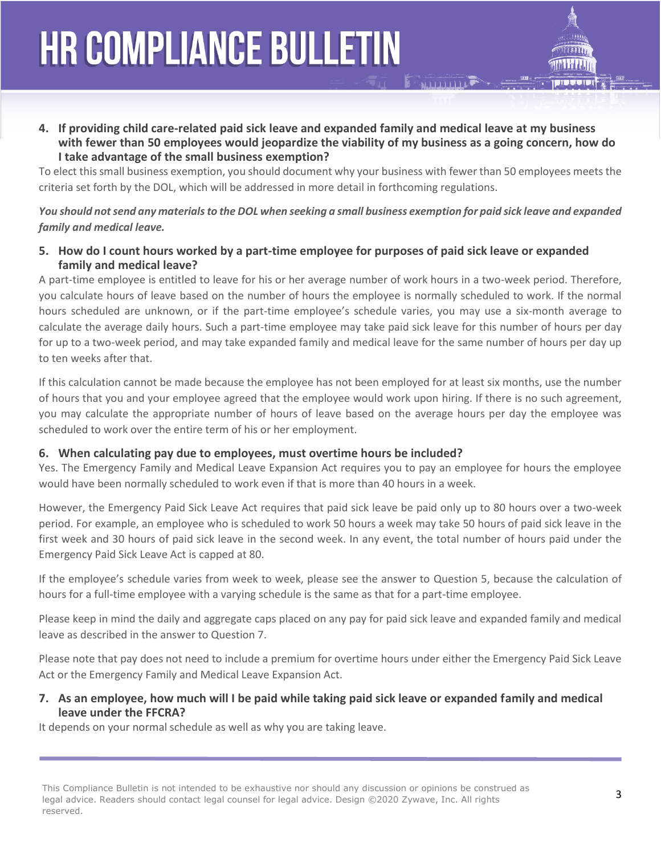**4. If providing child care-related paid sick leave and expanded family and medical leave at my business with fewer than 50 employees would jeopardize the viability of my business as a going concern, how do I take advantage of the small business exemption?**

To elect this small business exemption, you should document why your business with fewer than 50 employees meets the criteria set forth by the DOL, which will be addressed in more detail in forthcoming regulations.

#### *You should not send any materials to the DOL when seeking a small business exemption for paid sick leave and expanded family and medical leave.*

**5. How do I count hours worked by a part-time employee for purposes of paid sick leave or expanded family and medical leave?**

A part-time employee is entitled to leave for his or her average number of work hours in a two-week period. Therefore, you calculate hours of leave based on the number of hours the employee is normally scheduled to work. If the normal hours scheduled are unknown, or if the part-time employee's schedule varies, you may use a six-month average to calculate the average daily hours. Such a part-time employee may take paid sick leave for this number of hours per day for up to a two-week period, and may take expanded family and medical leave for the same number of hours per day up to ten weeks after that.

If this calculation cannot be made because the employee has not been employed for at least six months, use the number of hours that you and your employee agreed that the employee would work upon hiring. If there is no such agreement, you may calculate the appropriate number of hours of leave based on the average hours per day the employee was scheduled to work over the entire term of his or her employment.

#### **6. When calculating pay due to employees, must overtime hours be included?**

Yes. The Emergency Family and Medical Leave Expansion Act requires you to pay an employee for hours the employee would have been normally scheduled to work even if that is more than 40 hours in a week.

However, the Emergency Paid Sick Leave Act requires that paid sick leave be paid only up to 80 hours over a two-week period. For example, an employee who is scheduled to work 50 hours a week may take 50 hours of paid sick leave in the first week and 30 hours of paid sick leave in the second week. In any event, the total number of hours paid under the Emergency Paid Sick Leave Act is capped at 80.

If the employee's schedule varies from week to week, please see the answer to Question 5, because the calculation of hours for a full-time employee with a varying schedule is the same as that for a part-time employee.

Please keep in mind the daily and aggregate caps placed on any pay for paid sick leave and expanded family and medical leave as described in the answer to Question 7.

Please note that pay does not need to include a premium for overtime hours under either the Emergency Paid Sick Leave Act or the Emergency Family and Medical Leave Expansion Act.

#### **7. As an employee, how much will I be paid while taking paid sick leave or expanded family and medical leave under the FFCRA?**

It depends on your normal schedule as well as why you are taking leave.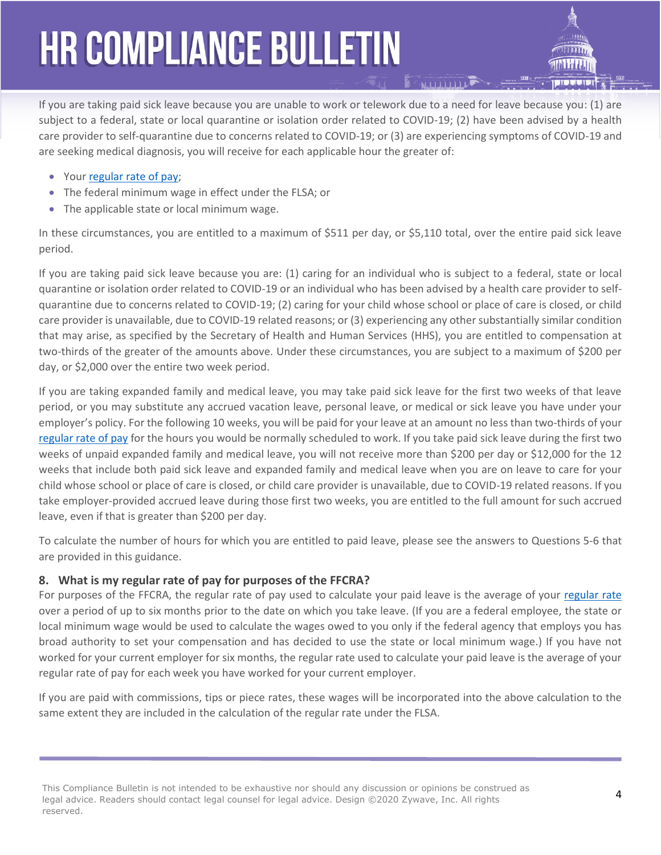If you are taking paid sick leave because you are unable to work or telework due to a need for leave because you: (1) are subject to a federal, state or local quarantine or isolation order related to COVID-19; (2) have been advised by a health care provider to self-quarantine due to concerns related to COVID-19; or (3) are experiencing symptoms of COVID-19 and are seeking medical diagnosis, you will receive for each applicable hour the greater of:

- Your [regular rate of pay;](https://www.dol.gov/agencies/whd/fact-sheets/56a-regular-rate)
- The federal minimum wage in effect under the FLSA; or
- The applicable state or local minimum wage.

In these circumstances, you are entitled to a maximum of \$511 per day, or \$5,110 total, over the entire paid sick leave period.

If you are taking paid sick leave because you are: (1) caring for an individual who is subject to a federal, state or local quarantine or isolation order related to COVID-19 or an individual who has been advised by a health care provider to selfquarantine due to concerns related to COVID-19; (2) caring for your child whose school or place of care is closed, or child care provider is unavailable, due to COVID-19 related reasons; or (3) experiencing any other substantially similar condition that may arise, as specified by the Secretary of Health and Human Services (HHS), you are entitled to compensation at two-thirds of the greater of the amounts above. Under these circumstances, you are subject to a maximum of \$200 per day, or \$2,000 over the entire two week period.

If you are taking expanded family and medical leave, you may take paid sick leave for the first two weeks of that leave period, or you may substitute any accrued vacation leave, personal leave, or medical or sick leave you have under your employer's policy. For the following 10 weeks, you will be paid for your leave at an amount no less than two-thirds of your [regular rate of pay](https://www.dol.gov/agencies/whd/fact-sheets/56a-regular-rate) for the hours you would be normally scheduled to work. If you take paid sick leave during the first two weeks of unpaid expanded family and medical leave, you will not receive more than \$200 per day or \$12,000 for the 12 weeks that include both paid sick leave and expanded family and medical leave when you are on leave to care for your child whose school or place of care is closed, or child care provider is unavailable, due to COVID-19 related reasons. If you take employer-provided accrued leave during those first two weeks, you are entitled to the full amount for such accrued leave, even if that is greater than \$200 per day.

To calculate the number of hours for which you are entitled to paid leave, please see the answers to Questions 5-6 that are provided in this guidance.

#### **8. What is my regular rate of pay for purposes of the FFCRA?**

For purposes of the FFCRA, the regular rate of pay used to calculate your paid leave is the average of your [regular rate](https://www.dol.gov/agencies/whd/fact-sheets/56a-regular-rate) over a period of up to six months prior to the date on which you take leave. (If you are a federal employee, the state or local minimum wage would be used to calculate the wages owed to you only if the federal agency that employs you has broad authority to set your compensation and has decided to use the state or local minimum wage.) If you have not worked for your current employer for six months, the regular rate used to calculate your paid leave is the average of your regular rate of pay for each week you have worked for your current employer.

If you are paid with commissions, tips or piece rates, these wages will be incorporated into the above calculation to the same extent they are included in the calculation of the regular rate under the FLSA.

This Compliance Bulletin is not intended to be exhaustive nor should any discussion or opinions be construed as legal advice. Readers should contact legal counsel for legal advice. Design ©2020 Zywave, Inc. All rights reserved.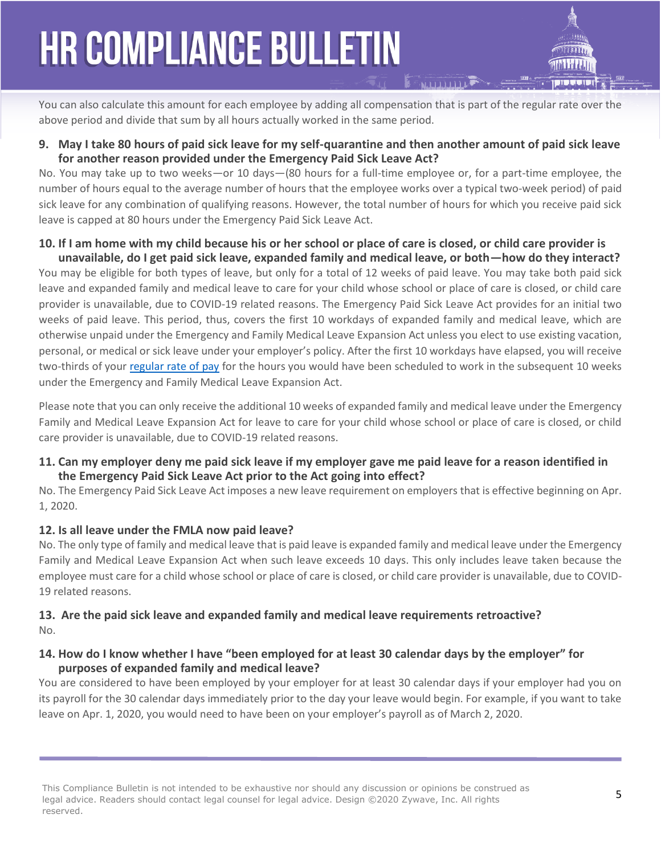You can also calculate this amount for each employee by adding all compensation that is part of the regular rate over the above period and divide that sum by all hours actually worked in the same period.

**9. May I take 80 hours of paid sick leave for my self-quarantine and then another amount of paid sick leave for another reason provided under the Emergency Paid Sick Leave Act?**

No. You may take up to two weeks—or 10 days—(80 hours for a full-time employee or, for a part-time employee, the number of hours equal to the average number of hours that the employee works over a typical two-week period) of paid sick leave for any combination of qualifying reasons. However, the total number of hours for which you receive paid sick leave is capped at 80 hours under the Emergency Paid Sick Leave Act.

**10. If I am home with my child because his or her school or place of care is closed, or child care provider is unavailable, do I get paid sick leave, expanded family and medical leave, or both—how do they interact?**

You may be eligible for both types of leave, but only for a total of 12 weeks of paid leave. You may take both paid sick leave and expanded family and medical leave to care for your child whose school or place of care is closed, or child care provider is unavailable, due to COVID-19 related reasons. The Emergency Paid Sick Leave Act provides for an initial two weeks of paid leave. This period, thus, covers the first 10 workdays of expanded family and medical leave, which are otherwise unpaid under the Emergency and Family Medical Leave Expansion Act unless you elect to use existing vacation, personal, or medical or sick leave under your employer's policy. After the first 10 workdays have elapsed, you will receive two-thirds of your regular [rate of pay](https://www.dol.gov/agencies/whd/fact-sheets/56a-regular-rate) for the hours you would have been scheduled to work in the subsequent 10 weeks under the Emergency and Family Medical Leave Expansion Act.

Please note that you can only receive the additional 10 weeks of expanded family and medical leave under the Emergency Family and Medical Leave Expansion Act for leave to care for your child whose school or place of care is closed, or child care provider is unavailable, due to COVID-19 related reasons.

#### **11. Can my employer deny me paid sick leave if my employer gave me paid leave for a reason identified in the Emergency Paid Sick Leave Act prior to the Act going into effect?**

No. The Emergency Paid Sick Leave Act imposes a new leave requirement on employers that is effective beginning on Apr. 1, 2020.

#### **12. Is all leave under the FMLA now paid leave?**

No. The only type of family and medical leave that is paid leave is expanded family and medical leave under the Emergency Family and Medical Leave Expansion Act when such leave exceeds 10 days. This only includes leave taken because the employee must care for a child whose school or place of care is closed, or child care provider is unavailable, due to COVID-19 related reasons.

#### **13. Are the paid sick leave and expanded family and medical leave requirements retroactive?** No.

#### **14. How do I know whether I have "been employed for at least 30 calendar days by the employer" for purposes of expanded family and medical leave?**

You are considered to have been employed by your employer for at least 30 calendar days if your employer had you on its payroll for the 30 calendar days immediately prior to the day your leave would begin. For example, if you want to take leave on Apr. 1, 2020, you would need to have been on your employer's payroll as of March 2, 2020.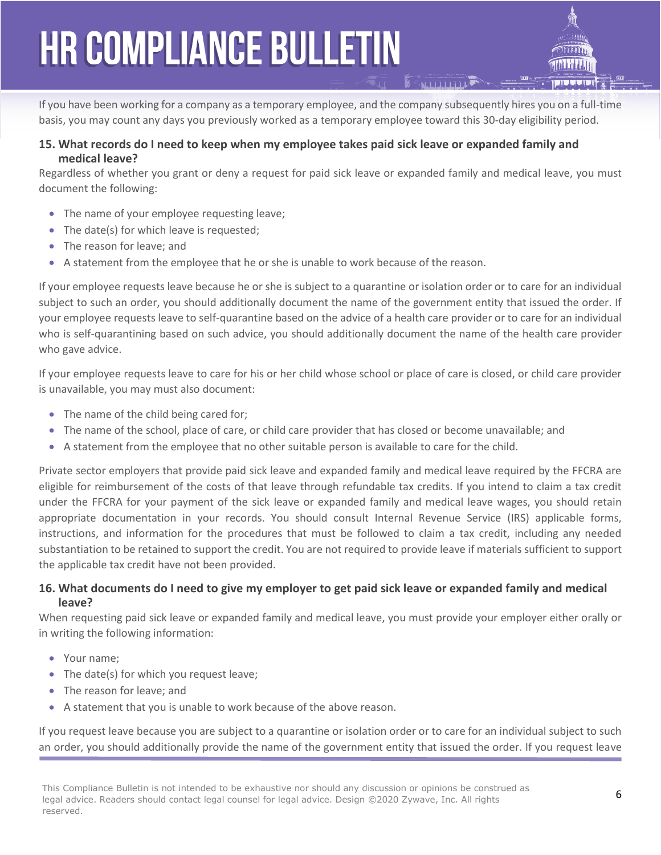If you have been working for a company as a temporary employee, and the company subsequently hires you on a full-time basis, you may count any days you previously worked as a temporary employee toward this 30-day eligibility period.

#### **15. What records do I need to keep when my employee takes paid sick leave or expanded family and medical leave?**

Regardless of whether you grant or deny a request for paid sick leave or expanded family and medical leave, you must document the following:

- The name of your employee requesting leave;
- The date(s) for which leave is requested;
- The reason for leave; and
- A statement from the employee that he or she is unable to work because of the reason.

If your employee requests leave because he or she is subject to a quarantine or isolation order or to care for an individual subject to such an order, you should additionally document the name of the government entity that issued the order. If your employee requests leave to self-quarantine based on the advice of a health care provider or to care for an individual who is self-quarantining based on such advice, you should additionally document the name of the health care provider who gave advice.

If your employee requests leave to care for his or her child whose school or place of care is closed, or child care provider is unavailable, you may must also document:

- The name of the child being cared for;
- The name of the school, place of care, or child care provider that has closed or become unavailable; and
- A statement from the employee that no other suitable person is available to care for the child.

Private sector employers that provide paid sick leave and expanded family and medical leave required by the FFCRA are eligible for reimbursement of the costs of that leave through refundable tax credits. If you intend to claim a tax credit under the FFCRA for your payment of the sick leave or expanded family and medical leave wages, you should retain appropriate documentation in your records. You should consult Internal Revenue Service (IRS) applicable forms, instructions, and information for the procedures that must be followed to claim a tax credit, including any needed substantiation to be retained to support the credit. You are not required to provide leave if materials sufficient to support the applicable tax credit have not been provided.

#### **16. What documents do I need to give my employer to get paid sick leave or expanded family and medical leave?**

When requesting paid sick leave or expanded family and medical leave, you must provide your employer either orally or in writing the following information:

- Your name;
- The date(s) for which you request leave;
- The reason for leave; and
- A statement that you is unable to work because of the above reason.

If you request leave because you are subject to a quarantine or isolation order or to care for an individual subject to such an order, you should additionally provide the name of the government entity that issued the order. If you request leave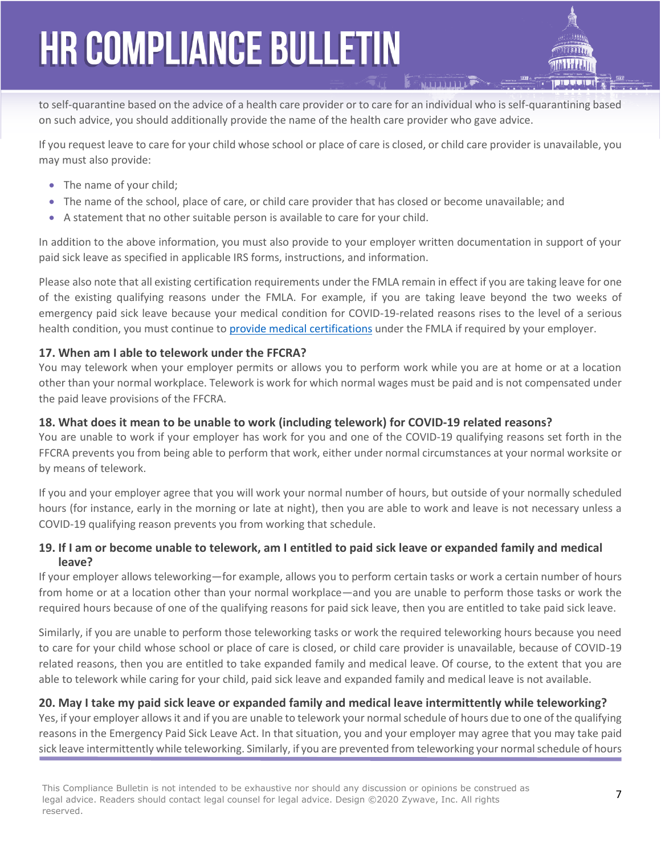to self-quarantine based on the advice of a health care provider or to care for an individual who is self-quarantining based on such advice, you should additionally provide the name of the health care provider who gave advice.

If you request leave to care for your child whose school or place of care is closed, or child care provider is unavailable, you may must also provide:

- The name of your child;
- The name of the school, place of care, or child care provider that has closed or become unavailable; and
- A statement that no other suitable person is available to care for your child.

In addition to the above information, you must also provide to your employer written documentation in support of your paid sick leave as specified in applicable IRS forms, instructions, and information.

Please also note that all existing certification requirements under the FMLA remain in effect if you are taking leave for one of the existing qualifying reasons under the FMLA. For example, if you are taking leave beyond the two weeks of emergency paid sick leave because your medical condition for COVID-19-related reasons rises to the level of a serious health condition, you must continue t[o provide medical certifications](https://www.dol.gov/sites/dolgov/files/WHD/legacy/files/whdfs28g.pdf) under the FMLA if required by your employer.

#### **17. When am I able to telework under the FFCRA?**

You may telework when your employer permits or allows you to perform work while you are at home or at a location other than your normal workplace. Telework is work for which normal wages must be paid and is not compensated under the paid leave provisions of the FFCRA.

#### **18. What does it mean to be unable to work (including telework) for COVID-19 related reasons?**

You are unable to work if your employer has work for you and one of the COVID-19 qualifying reasons set forth in the FFCRA prevents you from being able to perform that work, either under normal circumstances at your normal worksite or by means of telework.

If you and your employer agree that you will work your normal number of hours, but outside of your normally scheduled hours (for instance, early in the morning or late at night), then you are able to work and leave is not necessary unless a COVID-19 qualifying reason prevents you from working that schedule.

#### **19. If I am or become unable to telework, am I entitled to paid sick leave or expanded family and medical leave?**

If your employer allows teleworking—for example, allows you to perform certain tasks or work a certain number of hours from home or at a location other than your normal workplace—and you are unable to perform those tasks or work the required hours because of one of the qualifying reasons for paid sick leave, then you are entitled to take paid sick leave.

Similarly, if you are unable to perform those teleworking tasks or work the required teleworking hours because you need to care for your child whose school or place of care is closed, or child care provider is unavailable, because of COVID-19 related reasons, then you are entitled to take expanded family and medical leave. Of course, to the extent that you are able to telework while caring for your child, paid sick leave and expanded family and medical leave is not available.

#### **20. May I take my paid sick leave or expanded family and medical leave intermittently while teleworking?**

Yes, if your employer allows it and if you are unable to telework your normal schedule of hours due to one of the qualifying reasons in the Emergency Paid Sick Leave Act. In that situation, you and your employer may agree that you may take paid sick leave intermittently while teleworking. Similarly, if you are prevented from teleworking your normal schedule of hours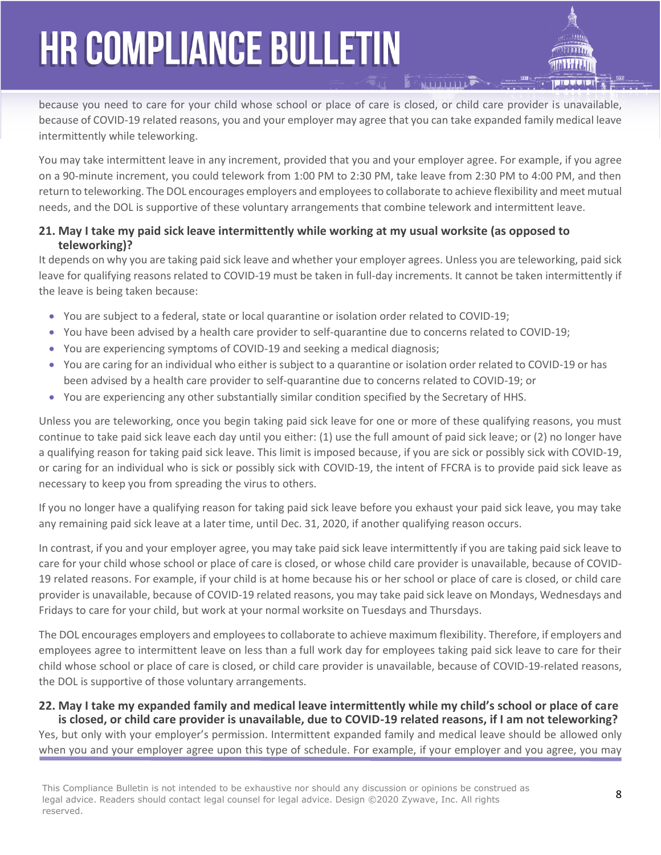because you need to care for your child whose school or place of care is closed, or child care provider is unavailable, because of COVID-19 related reasons, you and your employer may agree that you can take expanded family medical leave intermittently while teleworking.

You may take intermittent leave in any increment, provided that you and your employer agree. For example, if you agree on a 90-minute increment, you could telework from 1:00 PM to 2:30 PM, take leave from 2:30 PM to 4:00 PM, and then return to teleworking. The DOL encourages employers and employees to collaborate to achieve flexibility and meet mutual needs, and the DOL is supportive of these voluntary arrangements that combine telework and intermittent leave.

#### **21. May I take my paid sick leave intermittently while working at my usual worksite (as opposed to teleworking)?**

It depends on why you are taking paid sick leave and whether your employer agrees. Unless you are teleworking, paid sick leave for qualifying reasons related to COVID-19 must be taken in full-day increments. It cannot be taken intermittently if the leave is being taken because:

- You are subject to a federal, state or local quarantine or isolation order related to COVID-19;
- You have been advised by a health care provider to self-quarantine due to concerns related to COVID-19;
- You are experiencing symptoms of COVID-19 and seeking a medical diagnosis;
- You are caring for an individual who either is subject to a quarantine or isolation order related to COVID-19 or has been advised by a health care provider to self-quarantine due to concerns related to COVID-19; or
- You are experiencing any other substantially similar condition specified by the Secretary of HHS.

Unless you are teleworking, once you begin taking paid sick leave for one or more of these qualifying reasons, you must continue to take paid sick leave each day until you either: (1) use the full amount of paid sick leave; or (2) no longer have a qualifying reason for taking paid sick leave. This limit is imposed because, if you are sick or possibly sick with COVID-19, or caring for an individual who is sick or possibly sick with COVID-19, the intent of FFCRA is to provide paid sick leave as necessary to keep you from spreading the virus to others.

If you no longer have a qualifying reason for taking paid sick leave before you exhaust your paid sick leave, you may take any remaining paid sick leave at a later time, until Dec. 31, 2020, if another qualifying reason occurs.

In contrast, if you and your employer agree, you may take paid sick leave intermittently if you are taking paid sick leave to care for your child whose school or place of care is closed, or whose child care provider is unavailable, because of COVID-19 related reasons. For example, if your child is at home because his or her school or place of care is closed, or child care provider is unavailable, because of COVID-19 related reasons, you may take paid sick leave on Mondays, Wednesdays and Fridays to care for your child, but work at your normal worksite on Tuesdays and Thursdays.

The DOL encourages employers and employees to collaborate to achieve maximum flexibility. Therefore, if employers and employees agree to intermittent leave on less than a full work day for employees taking paid sick leave to care for their child whose school or place of care is closed, or child care provider is unavailable, because of COVID-19-related reasons, the DOL is supportive of those voluntary arrangements.

#### **22. May I take my expanded family and medical leave intermittently while my child's school or place of care is closed, or child care provider is unavailable, due to COVID-19 related reasons, if I am not teleworking?**

Yes, but only with your employer's permission. Intermittent expanded family and medical leave should be allowed only when you and your employer agree upon this type of schedule. For example, if your employer and you agree, you may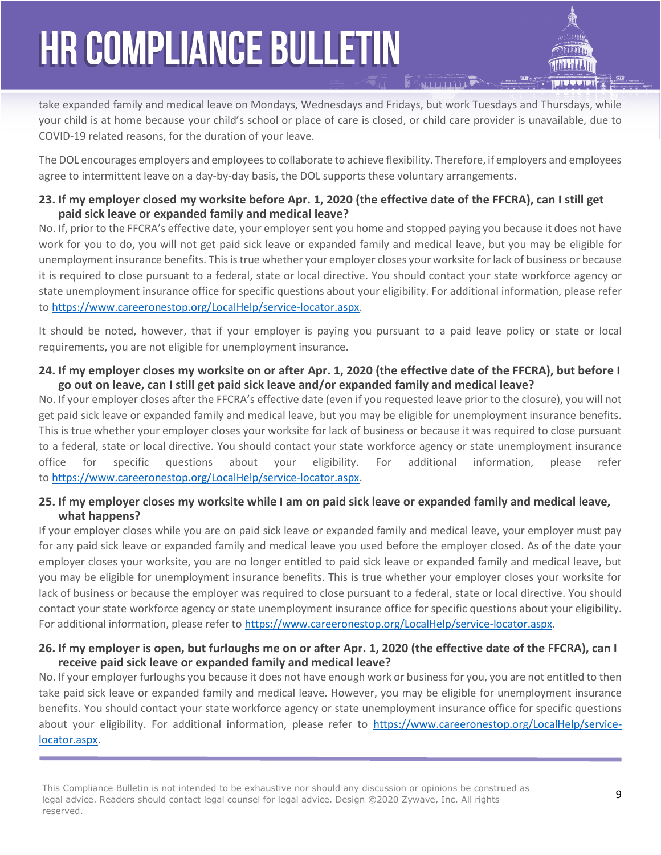take expanded family and medical leave on Mondays, Wednesdays and Fridays, but work Tuesdays and Thursdays, while your child is at home because your child's school or place of care is closed, or child care provider is unavailable, due to COVID-19 related reasons, for the duration of your leave.

The DOL encourages employers and employees to collaborate to achieve flexibility. Therefore, if employers and employees agree to intermittent leave on a day-by-day basis, the DOL supports these voluntary arrangements.

#### **23. If my employer closed my worksite before Apr. 1, 2020 (the effective date of the FFCRA), can I still get paid sick leave or expanded family and medical leave?**

No. If, prior to the FFCRA's effective date, your employer sent you home and stopped paying you because it does not have work for you to do, you will not get paid sick leave or expanded family and medical leave, but you may be eligible for unemployment insurance benefits. This is true whether your employer closes your worksite for lack of business or because it is required to close pursuant to a federal, state or local directive. You should contact your state workforce agency or state unemployment insurance office for specific questions about your eligibility. For additional information, please refer to [https://www.careeronestop.org/LocalHelp/service-locator.aspx.](https://www.careeronestop.org/LocalHelp/service-locator.aspx)

It should be noted, however, that if your employer is paying you pursuant to a paid leave policy or state or local requirements, you are not eligible for unemployment insurance.

#### **24. If my employer closes my worksite on or after Apr. 1, 2020 (the effective date of the FFCRA), but before I go out on leave, can I still get paid sick leave and/or expanded family and medical leave?**

No. If your employer closes after the FFCRA's effective date (even if you requested leave prior to the closure), you will not get paid sick leave or expanded family and medical leave, but you may be eligible for unemployment insurance benefits. This is true whether your employer closes your worksite for lack of business or because it was required to close pursuant to a federal, state or local directive. You should contact your state workforce agency or state unemployment insurance office for specific questions about your eligibility. For additional information, please refer to [https://www.careeronestop.org/LocalHelp/service-locator.aspx.](https://www.careeronestop.org/LocalHelp/service-locator.aspx)

#### **25. If my employer closes my worksite while I am on paid sick leave or expanded family and medical leave, what happens?**

If your employer closes while you are on paid sick leave or expanded family and medical leave, your employer must pay for any paid sick leave or expanded family and medical leave you used before the employer closed. As of the date your employer closes your worksite, you are no longer entitled to paid sick leave or expanded family and medical leave, but you may be eligible for unemployment insurance benefits. This is true whether your employer closes your worksite for lack of business or because the employer was required to close pursuant to a federal, state or local directive. You should contact your state workforce agency or state unemployment insurance office for specific questions about your eligibility. For additional information, please refer to [https://www.careeronestop.org/LocalHelp/service-locator.aspx.](https://www.careeronestop.org/LocalHelp/service-locator.aspx)

#### **26. If my employer is open, but furloughs me on or after Apr. 1, 2020 (the effective date of the FFCRA), can I receive paid sick leave or expanded family and medical leave?**

No. If your employer furloughs you because it does not have enough work or business for you, you are not entitled to then take paid sick leave or expanded family and medical leave. However, you may be eligible for unemployment insurance benefits. You should contact your state workforce agency or state unemployment insurance office for specific questions about your eligibility. For additional information, please refer to [https://www.careeronestop.org/LocalHelp/service](https://www.careeronestop.org/LocalHelp/service-locator.aspx)[locator.aspx.](https://www.careeronestop.org/LocalHelp/service-locator.aspx)

This Compliance Bulletin is not intended to be exhaustive nor should any discussion or opinions be construed as legal advice. Readers should contact legal counsel for legal advice. Design ©2020 Zywave, Inc. All rights reserved.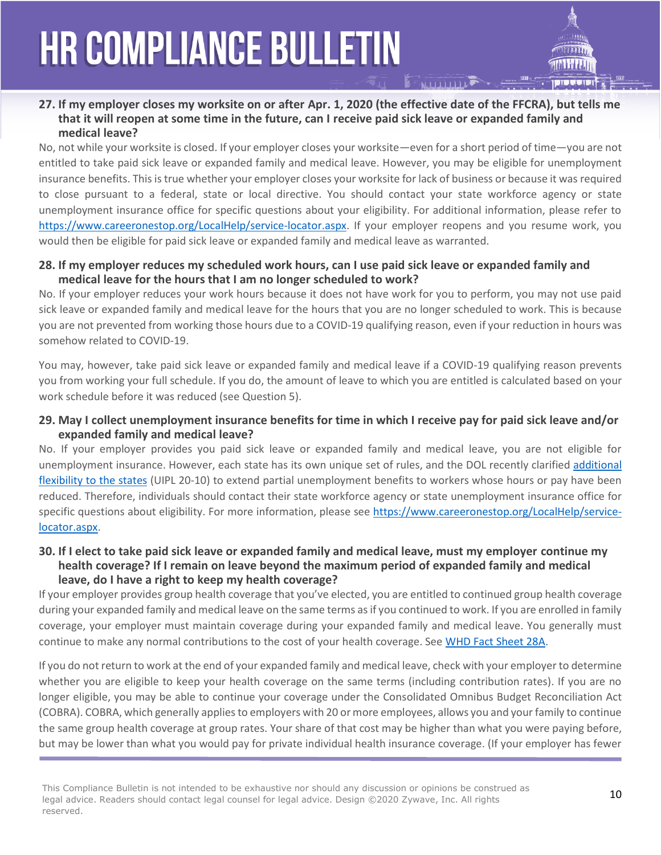No, not while your worksite is closed. If your employer closes your worksite—even for a short period of time—you are not entitled to take paid sick leave or expanded family and medical leave. However, you may be eligible for unemployment insurance benefits. This is true whether your employer closes your worksite for lack of business or because it was required to close pursuant to a federal, state or local directive. You should contact your state workforce agency or state unemployment insurance office for specific questions about your eligibility. For additional information, please refer to [https://www.careeronestop.org/LocalHelp/service-locator.aspx.](https://www.careeronestop.org/LocalHelp/service-locator.aspx) If your employer reopens and you resume work, you would then be eligible for paid sick leave or expanded family and medical leave as warranted.

#### **28. If my employer reduces my scheduled work hours, can I use paid sick leave or expanded family and medical leave for the hours that I am no longer scheduled to work?**

No. If your employer reduces your work hours because it does not have work for you to perform, you may not use paid sick leave or expanded family and medical leave for the hours that you are no longer scheduled to work. This is because you are not prevented from working those hours due to a COVID-19 qualifying reason, even if your reduction in hours was somehow related to COVID-19.

You may, however, take paid sick leave or expanded family and medical leave if a COVID-19 qualifying reason prevents you from working your full schedule. If you do, the amount of leave to which you are entitled is calculated based on your work schedule before it was reduced (see Question 5).

#### **29. May I collect unemployment insurance benefits for time in which I receive pay for paid sick leave and/or expanded family and medical leave?**

No. If your employer provides you paid sick leave or expanded family and medical leave, you are not eligible for unemployment insurance. However, each state has its own unique set of rules, and the DOL recently clarified [additional](https://wdr.doleta.gov/directives/corr_doc.cfm?docn=8893)  [flexibility to the states](https://wdr.doleta.gov/directives/corr_doc.cfm?docn=8893) (UIPL 20-10) to extend partial unemployment benefits to workers whose hours or pay have been reduced. Therefore, individuals should contact their state workforce agency or state unemployment insurance office for specific questions about eligibility. For more information, please see [https://www.careeronestop.org/LocalHelp/service](https://www.careeronestop.org/LocalHelp/service-locator.aspx)[locator.aspx.](https://www.careeronestop.org/LocalHelp/service-locator.aspx)

#### **30. If I elect to take paid sick leave or expanded family and medical leave, must my employer continue my health coverage? If I remain on leave beyond the maximum period of expanded family and medical leave, do I have a right to keep my health coverage?**

If your employer provides group health coverage that you've elected, you are entitled to continued group health coverage during your expanded family and medical leave on the same terms as if you continued to work. If you are enrolled in family coverage, your employer must maintain coverage during your expanded family and medical leave. You generally must continue to make any normal contributions to the cost of your health coverage. Se[e WHD Fact Sheet 28A.](https://www.dol.gov/agencies/whd/fact-sheets/28a-fmla-employee-protections)

If you do not return to work at the end of your expanded family and medical leave, check with your employer to determine whether you are eligible to keep your health coverage on the same terms (including contribution rates). If you are no longer eligible, you may be able to continue your coverage under the Consolidated Omnibus Budget Reconciliation Act (COBRA). COBRA, which generally applies to employers with 20 or more employees, allows you and your family to continue the same group health coverage at group rates. Your share of that cost may be higher than what you were paying before, but may be lower than what you would pay for private individual health insurance coverage. (If your employer has fewer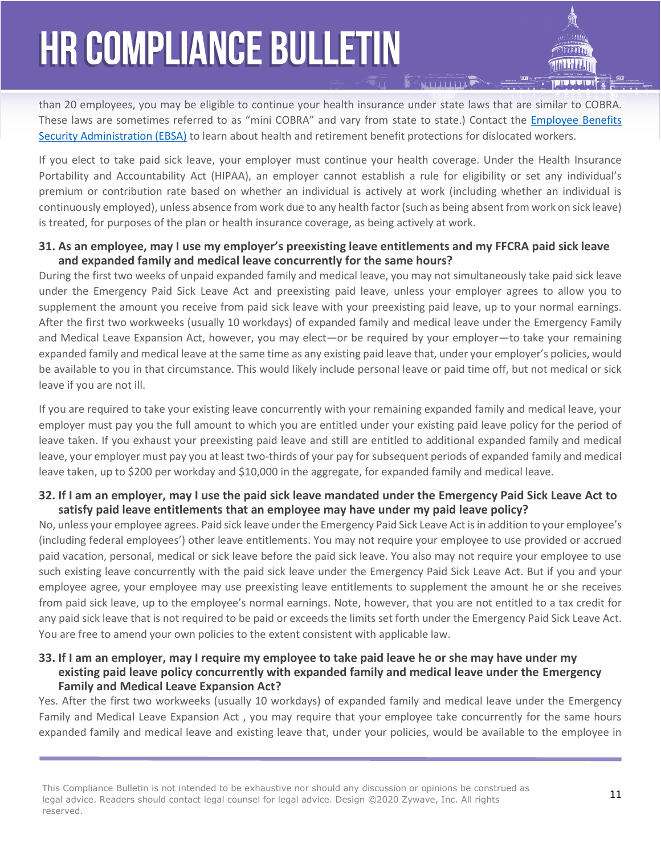than 20 employees, you may be eligible to continue your health insurance under state laws that are similar to COBRA. These laws are sometimes referred to as "mini COBRA" and vary from state to state.) Contact the [Employee Benefits](https://www.dol.gov/agencies/ebsa/workers-and-families/changing-jobs-and-job-loss)  [Security Administration \(EBSA\)](https://www.dol.gov/agencies/ebsa/workers-and-families/changing-jobs-and-job-loss) to learn about health and retirement benefit protections for dislocated workers.

If you elect to take paid sick leave, your employer must continue your health coverage. Under the Health Insurance Portability and Accountability Act (HIPAA), an employer cannot establish a rule for eligibility or set any individual's premium or contribution rate based on whether an individual is actively at work (including whether an individual is continuously employed), unless absence from work due to any health factor (such as being absent from work on sick leave) is treated, for purposes of the plan or health insurance coverage, as being actively at work.

#### **31. As an employee, may I use my employer's preexisting leave entitlements and my FFCRA paid sick leave and expanded family and medical leave concurrently for the same hours?**

During the first two weeks of unpaid expanded family and medical leave, you may not simultaneously take paid sick leave under the Emergency Paid Sick Leave Act and preexisting paid leave, unless your employer agrees to allow you to supplement the amount you receive from paid sick leave with your preexisting paid leave, up to your normal earnings. After the first two workweeks (usually 10 workdays) of expanded family and medical leave under the Emergency Family and Medical Leave Expansion Act, however, you may elect—or be required by your employer—to take your remaining expanded family and medical leave at the same time as any existing paid leave that, under your employer's policies, would be available to you in that circumstance. This would likely include personal leave or paid time off, but not medical or sick leave if you are not ill.

If you are required to take your existing leave concurrently with your remaining expanded family and medical leave, your employer must pay you the full amount to which you are entitled under your existing paid leave policy for the period of leave taken. If you exhaust your preexisting paid leave and still are entitled to additional expanded family and medical leave, your employer must pay you at least two-thirds of your pay for subsequent periods of expanded family and medical leave taken, up to \$200 per workday and \$10,000 in the aggregate, for expanded family and medical leave.

#### **32. If I am an employer, may I use the paid sick leave mandated under the Emergency Paid Sick Leave Act to satisfy paid leave entitlements that an employee may have under my paid leave policy?**

No, unless your employee agrees. Paid sick leave under the Emergency Paid Sick Leave Act is in addition to your employee's (including federal employees') other leave entitlements. You may not require your employee to use provided or accrued paid vacation, personal, medical or sick leave before the paid sick leave. You also may not require your employee to use such existing leave concurrently with the paid sick leave under the Emergency Paid Sick Leave Act. But if you and your employee agree, your employee may use preexisting leave entitlements to supplement the amount he or she receives from paid sick leave, up to the employee's normal earnings. Note, however, that you are not entitled to a tax credit for any paid sick leave that is not required to be paid or exceeds the limits set forth under the Emergency Paid Sick Leave Act. You are free to amend your own policies to the extent consistent with applicable law.

#### **33. If I am an employer, may I require my employee to take paid leave he or she may have under my existing paid leave policy concurrently with expanded family and medical leave under the Emergency Family and Medical Leave Expansion Act?**

Yes. After the first two workweeks (usually 10 workdays) of expanded family and medical leave under the Emergency Family and Medical Leave Expansion Act , you may require that your employee take concurrently for the same hours expanded family and medical leave and existing leave that, under your policies, would be available to the employee in

This Compliance Bulletin is not intended to be exhaustive nor should any discussion or opinions be construed as  $11$ legal advice. Readers should contact legal counsel for legal advice. Design ©2020 Zywave, Inc. All rights reserved.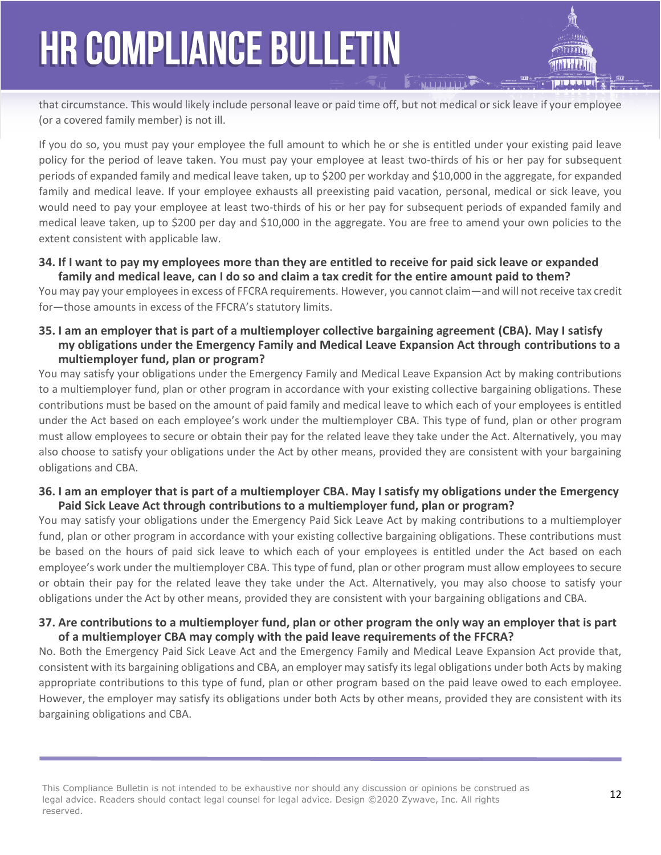that circumstance. This would likely include personal leave or paid time off, but not medical or sick leave if your employee (or a covered family member) is not ill.

If you do so, you must pay your employee the full amount to which he or she is entitled under your existing paid leave policy for the period of leave taken. You must pay your employee at least two-thirds of his or her pay for subsequent periods of expanded family and medical leave taken, up to \$200 per workday and \$10,000 in the aggregate, for expanded family and medical leave. If your employee exhausts all preexisting paid vacation, personal, medical or sick leave, you would need to pay your employee at least two-thirds of his or her pay for subsequent periods of expanded family and medical leave taken, up to \$200 per day and \$10,000 in the aggregate. You are free to amend your own policies to the extent consistent with applicable law.

#### **34. If I want to pay my employees more than they are entitled to receive for paid sick leave or expanded family and medical leave, can I do so and claim a tax credit for the entire amount paid to them?**

You may pay your employees in excess of FFCRA requirements. However, you cannot claim—and will not receive tax credit for—those amounts in excess of the FFCRA's statutory limits.

#### **35. I am an employer that is part of a multiemployer collective bargaining agreement (CBA). May I satisfy my obligations under the Emergency Family and Medical Leave Expansion Act through contributions to a multiemployer fund, plan or program?**

You may satisfy your obligations under the Emergency Family and Medical Leave Expansion Act by making contributions to a multiemployer fund, plan or other program in accordance with your existing collective bargaining obligations. These contributions must be based on the amount of paid family and medical leave to which each of your employees is entitled under the Act based on each employee's work under the multiemployer CBA. This type of fund, plan or other program must allow employees to secure or obtain their pay for the related leave they take under the Act. Alternatively, you may also choose to satisfy your obligations under the Act by other means, provided they are consistent with your bargaining obligations and CBA.

#### **36. I am an employer that is part of a multiemployer CBA. May I satisfy my obligations under the Emergency Paid Sick Leave Act through contributions to a multiemployer fund, plan or program?**

You may satisfy your obligations under the Emergency Paid Sick Leave Act by making contributions to a multiemployer fund, plan or other program in accordance with your existing collective bargaining obligations. These contributions must be based on the hours of paid sick leave to which each of your employees is entitled under the Act based on each employee's work under the multiemployer CBA. This type of fund, plan or other program must allow employees to secure or obtain their pay for the related leave they take under the Act. Alternatively, you may also choose to satisfy your obligations under the Act by other means, provided they are consistent with your bargaining obligations and CBA.

#### **37. Are contributions to a multiemployer fund, plan or other program the only way an employer that is part of a multiemployer CBA may comply with the paid leave requirements of the FFCRA?**

No. Both the Emergency Paid Sick Leave Act and the Emergency Family and Medical Leave Expansion Act provide that, consistent with its bargaining obligations and CBA, an employer may satisfy its legal obligations under both Acts by making appropriate contributions to this type of fund, plan or other program based on the paid leave owed to each employee. However, the employer may satisfy its obligations under both Acts by other means, provided they are consistent with its bargaining obligations and CBA.

This Compliance Bulletin is not intended to be exhaustive nor should any discussion or opinions be construed as **12**<br>Lead advise Readers should agricultured acureal for lead advise. Realize 2000 Zinurus, Inc. All visits. legal advice. Readers should contact legal counsel for legal advice. Design ©2020 Zywave, Inc. All rights reserved.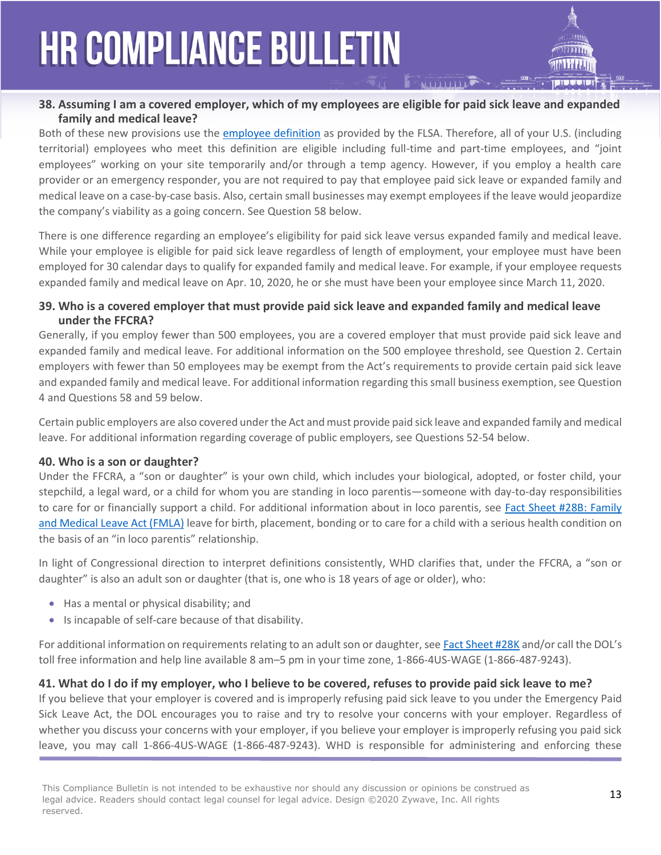#### **38. Assuming I am a covered employer, which of my employees are eligible for paid sick leave and expanded family and medical leave?**

Both of these new provisions use the [employee definition](https://www.dol.gov/agencies/whd/fact-sheets/13-flsa-employment-relationship) as provided by the FLSA. Therefore, all of your U.S. (including territorial) employees who meet this definition are eligible including full-time and part-time employees, and "joint employees" working on your site temporarily and/or through a temp agency. However, if you employ a health care provider or an emergency responder, you are not required to pay that employee paid sick leave or expanded family and medical leave on a case-by-case basis. Also, certain small businesses may exempt employees if the leave would jeopardize the company's viability as a going concern. See Question 58 below.

There is one difference regarding an employee's eligibility for paid sick leave versus expanded family and medical leave. While your employee is eligible for paid sick leave regardless of length of employment, your employee must have been employed for 30 calendar days to qualify for expanded family and medical leave. For example, if your employee requests expanded family and medical leave on Apr. 10, 2020, he or she must have been your employee since March 11, 2020.

#### **39. Who is a covered employer that must provide paid sick leave and expanded family and medical leave under the FFCRA?**

Generally, if you employ fewer than 500 employees, you are a covered employer that must provide paid sick leave and expanded family and medical leave. For additional information on the 500 employee threshold, see Question 2. Certain employers with fewer than 50 employees may be exempt from the Act's requirements to provide certain paid sick leave and expanded family and medical leave. For additional information regarding this small business exemption, see Question 4 and Questions 58 and 59 below.

Certain public employers are also covered under the Act and must provide paid sick leave and expanded family and medical leave. For additional information regarding coverage of public employers, see Questions 52-54 below.

#### **40. Who is a son or daughter?**

Under the FFCRA, a "son or daughter" is your own child, which includes your biological, adopted, or foster child, your stepchild, a legal ward, or a child for whom you are standing in loco parentis—someone with day-to-day responsibilities to care for or financially support a child. For additional information about in loco parentis, see [Fact Sheet #28B: Family](https://www.dol.gov/sites/dolgov/files/WHD/legacy/files/whdfs28B.pdf)  [and Medical Leave Act \(FMLA\)](https://www.dol.gov/sites/dolgov/files/WHD/legacy/files/whdfs28B.pdf) leave for birth, placement, bonding or to care for a child with a serious health condition on the basis of an "in loco parentis" relationship.

In light of Congressional direction to interpret definitions consistently, WHD clarifies that, under the FFCRA, a "son or daughter" is also an adult son or daughter (that is, one who is 18 years of age or older), who:

- Has a mental or physical disability; and
- Is incapable of self-care because of that disability.

For additional information on requirements relating to an adult son or daughter, see [Fact Sheet #28K](https://www.dol.gov/agencies/whd/fact-sheets/28k-fmla-adult-children) and/or call the DOL's toll free information and help line available 8 am–5 pm in your time zone, 1-866-4US-WAGE (1-866-487-9243).

#### **41. What do I do if my employer, who I believe to be covered, refuses to provide paid sick leave to me?**

If you believe that your employer is covered and is improperly refusing paid sick leave to you under the Emergency Paid Sick Leave Act, the DOL encourages you to raise and try to resolve your concerns with your employer. Regardless of whether you discuss your concerns with your employer, if you believe your employer is improperly refusing you paid sick leave, you may call 1-866-4US-WAGE (1-866-487-9243). WHD is responsible for administering and enforcing these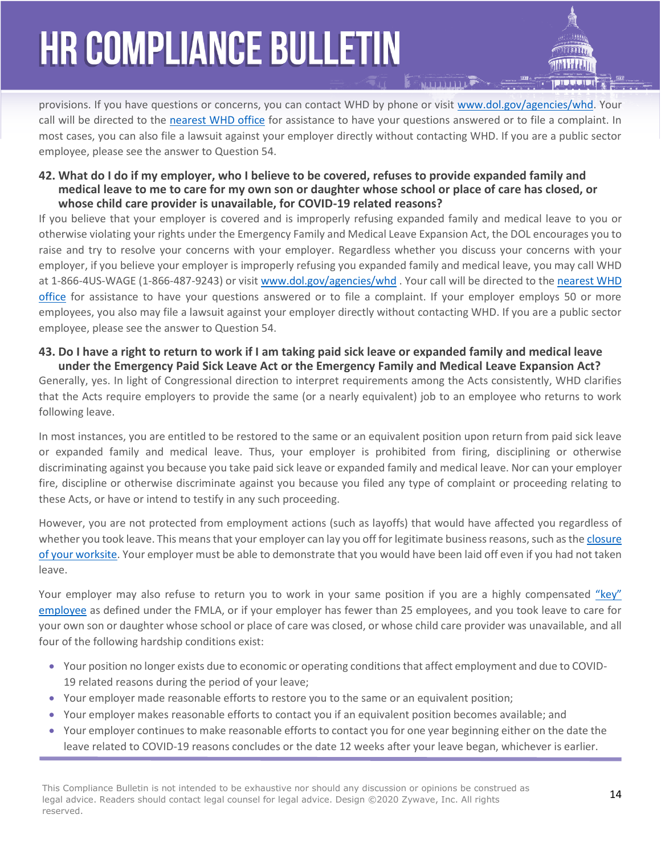provisions. If you have questions or concerns, you can contact WHD by phone or visit [www.dol.gov/agencies/whd.](http://www.dol.gov/agencies/whd) Your call will be directed to the [nearest WHD office](https://www.dol.gov/agencies/whd/contact/local-offices) for assistance to have your questions answered or to file a complaint. In most cases, you can also file a lawsuit against your employer directly without contacting WHD. If you are a public sector employee, please see the answer to Question 54.

#### **42. What do I do if my employer, who I believe to be covered, refuses to provide expanded family and medical leave to me to care for my own son or daughter whose school or place of care has closed, or whose child care provider is unavailable, for COVID-19 related reasons?**

If you believe that your employer is covered and is improperly refusing expanded family and medical leave to you or otherwise violating your rights under the Emergency Family and Medical Leave Expansion Act, the DOL encourages you to raise and try to resolve your concerns with your employer. Regardless whether you discuss your concerns with your employer, if you believe your employer is improperly refusing you expanded family and medical leave, you may call WHD at 1-866-4US-WAGE (1-866-487-9243) or visit [www.dol.gov/agencies/whd](http://www.dol.gov/agencies/whd) . Your call will be directed to the [nearest WHD](https://www.dol.gov/agencies/whd/contact/local-offices)  [office](https://www.dol.gov/agencies/whd/contact/local-offices) for assistance to have your questions answered or to file a complaint. If your employer employs 50 or more employees, you also may file a lawsuit against your employer directly without contacting WHD. If you are a public sector employee, please see the answer to Question 54.

#### **43. Do I have a right to return to work if I am taking paid sick leave or expanded family and medical leave under the Emergency Paid Sick Leave Act or the Emergency Family and Medical Leave Expansion Act?**

Generally, yes. In light of Congressional direction to interpret requirements among the Acts consistently, WHD clarifies that the Acts require employers to provide the same (or a nearly equivalent) job to an employee who returns to work following leave.

In most instances, you are entitled to be restored to the same or an equivalent position upon return from paid sick leave or expanded family and medical leave. Thus, your employer is prohibited from firing, disciplining or otherwise discriminating against you because you take paid sick leave or expanded family and medical leave. Nor can your employer fire, discipline or otherwise discriminate against you because you filed any type of complaint or proceeding relating to these Acts, or have or intend to testify in any such proceeding.

However, you are not protected from employment actions (such as layoffs) that would have affected you regardless of whether you took leave. This means that your employer can lay you off for legitimate business reasons, such as the [closure](https://www.dol.gov/agencies/whd/fact-sheets/28a-fmla-employee-protections)  [of your worksite.](https://www.dol.gov/agencies/whd/fact-sheets/28a-fmla-employee-protections) Your employer must be able to demonstrate that you would have been laid off even if you had not taken leave.

Your employer may also refuse to return you to work in your same position if you are a highly compensated "key" [employee](https://www.dol.gov/whd/regs/compliance/whdfs28a.pdf) as defined under the FMLA, or if your employer has fewer than 25 employees, and you took leave to care for your own son or daughter whose school or place of care was closed, or whose child care provider was unavailable, and all four of the following hardship conditions exist:

- Your position no longer exists due to economic or operating conditions that affect employment and due to COVID-19 related reasons during the period of your leave;
- Your employer made reasonable efforts to restore you to the same or an equivalent position;
- Your employer makes reasonable efforts to contact you if an equivalent position becomes available; and
- Your employer continues to make reasonable efforts to contact you for one year beginning either on the date the leave related to COVID-19 reasons concludes or the date 12 weeks after your leave began, whichever is earlier.

This Compliance Bulletin is not intended to be exhaustive nor should any discussion or opinions be construed as **14**<br>Lead advise Readers should agricultured the procedured advise. Realize 2000 Zenners Tag All with a legal advice. Readers should contact legal counsel for legal advice. Design ©2020 Zywave, Inc. All rights reserved.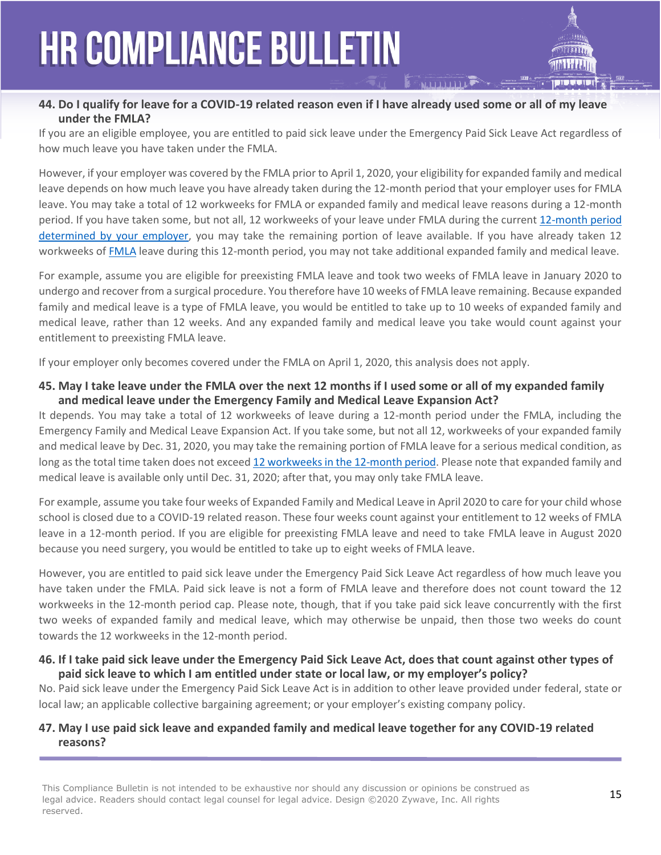#### **44. Do I qualify for leave for a COVID-19 related reason even if I have already used some or all of my leave under the FMLA?**

If you are an eligible employee, you are entitled to paid sick leave under the Emergency Paid Sick Leave Act regardless of how much leave you have taken under the FMLA.

However, if your employer was covered by the FMLA prior to April 1, 2020, your eligibility for expanded family and medical leave depends on how much leave you have already taken during the 12-month period that your employer uses for FMLA leave. You may take a total of 12 workweeks for FMLA or expanded family and medical leave reasons during a 12-month period. If you have taken some, but not all, 12 workweeks of your leave under FMLA during the current [12-month period](https://www.dol.gov/sites/dolgov/files/WHD/legacy/files/whdfs28h.pdf)  [determined by your employer,](https://www.dol.gov/sites/dolgov/files/WHD/legacy/files/whdfs28h.pdf) you may take the remaining portion of leave available. If you have already taken 12 workweeks of [FMLA](https://www.dol.gov/sites/dolgov/files/WHD/legacy/files/whdfs28.pdf) leave during this 12-month period, you may not take additional expanded family and medical leave.

For example, assume you are eligible for preexisting FMLA leave and took two weeks of FMLA leave in January 2020 to undergo and recover from a surgical procedure. You therefore have 10 weeks of FMLA leave remaining. Because expanded family and medical leave is a type of FMLA leave, you would be entitled to take up to 10 weeks of expanded family and medical leave, rather than 12 weeks. And any expanded family and medical leave you take would count against your entitlement to preexisting FMLA leave.

If your employer only becomes covered under the FMLA on April 1, 2020, this analysis does not apply.

#### **45. May I take leave under the FMLA over the next 12 months if I used some or all of my expanded family and medical leave under the Emergency Family and Medical Leave Expansion Act?**

It depends. You may take a total of 12 workweeks of leave during a 12-month period under the FMLA, including the Emergency Family and Medical Leave Expansion Act. If you take some, but not all 12, workweeks of your expanded family and medical leave by Dec. 31, 2020, you may take the remaining portion of FMLA leave for a serious medical condition, as long as the total time taken does not exceed [12 workweeks in the 12-month period.](https://www.dol.gov/sites/dolgov/files/WHD/legacy/files/whdfs28h.pdf) Please note that expanded family and medical leave is available only until Dec. 31, 2020; after that, you may only take FMLA leave.

For example, assume you take four weeks of Expanded Family and Medical Leave in April 2020 to care for your child whose school is closed due to a COVID-19 related reason. These four weeks count against your entitlement to 12 weeks of FMLA leave in a 12-month period. If you are eligible for preexisting FMLA leave and need to take FMLA leave in August 2020 because you need surgery, you would be entitled to take up to eight weeks of FMLA leave.

However, you are entitled to paid sick leave under the Emergency Paid Sick Leave Act regardless of how much leave you have taken under the FMLA. Paid sick leave is not a form of FMLA leave and therefore does not count toward the 12 workweeks in the 12-month period cap. Please note, though, that if you take paid sick leave concurrently with the first two weeks of expanded family and medical leave, which may otherwise be unpaid, then those two weeks do count towards the 12 workweeks in the 12-month period.

#### **46. If I take paid sick leave under the Emergency Paid Sick Leave Act, does that count against other types of paid sick leave to which I am entitled under state or local law, or my employer's policy?**

No. Paid sick leave under the Emergency Paid Sick Leave Act is in addition to other leave provided under federal, state or local law; an applicable collective bargaining agreement; or your employer's existing company policy.

#### **47. May I use paid sick leave and expanded family and medical leave together for any COVID-19 related reasons?**

This Compliance Bulletin is not intended to be exhaustive nor should any discussion or opinions be construed as **15**<br>Lead advise Readers should agricultured the lead of the lead advise. Realize 2000 Zenners Tre All with th legal advice. Readers should contact legal counsel for legal advice. Design ©2020 Zywave, Inc. All rights reserved.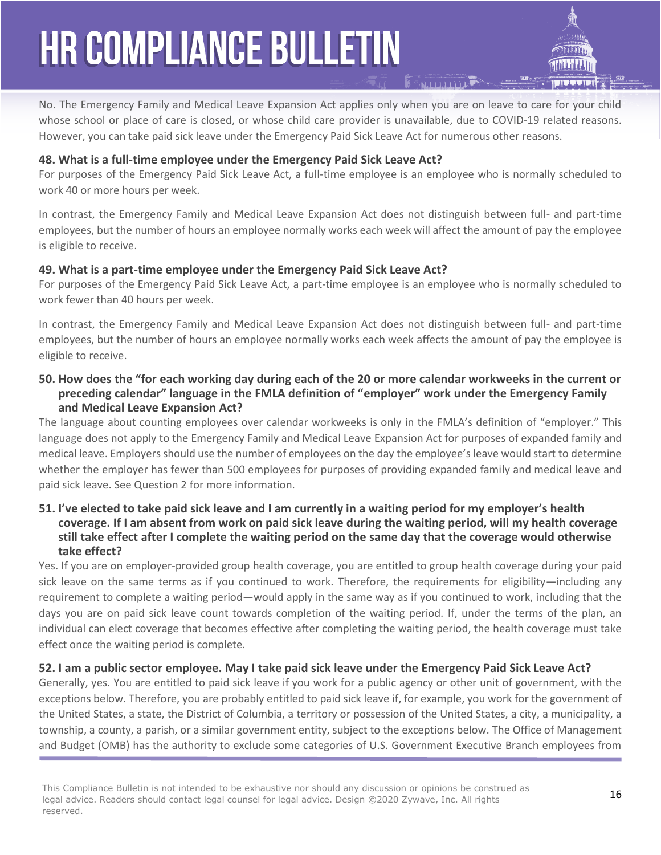No. The Emergency Family and Medical Leave Expansion Act applies only when you are on leave to care for your child whose school or place of care is closed, or whose child care provider is unavailable, due to COVID-19 related reasons. However, you can take paid sick leave under the Emergency Paid Sick Leave Act for numerous other reasons.

#### **48. What is a full-time employee under the Emergency Paid Sick Leave Act?**

For purposes of the Emergency Paid Sick Leave Act, a full-time employee is an employee who is normally scheduled to work 40 or more hours per week.

In contrast, the Emergency Family and Medical Leave Expansion Act does not distinguish between full- and part-time employees, but the number of hours an employee normally works each week will affect the amount of pay the employee is eligible to receive.

#### **49. What is a part-time employee under the Emergency Paid Sick Leave Act?**

For purposes of the Emergency Paid Sick Leave Act, a part-time employee is an employee who is normally scheduled to work fewer than 40 hours per week.

In contrast, the Emergency Family and Medical Leave Expansion Act does not distinguish between full- and part-time employees, but the number of hours an employee normally works each week affects the amount of pay the employee is eligible to receive.

#### **50. How does the "for each working day during each of the 20 or more calendar workweeks in the current or preceding calendar" language in the FMLA definition of "employer" work under the Emergency Family and Medical Leave Expansion Act?**

The language about counting employees over calendar workweeks is only in the FMLA's definition of "employer." This language does not apply to the Emergency Family and Medical Leave Expansion Act for purposes of expanded family and medical leave. Employers should use the number of employees on the day the employee's leave would start to determine whether the employer has fewer than 500 employees for purposes of providing expanded family and medical leave and paid sick leave. See Question 2 for more information.

#### **51. I've elected to take paid sick leave and I am currently in a waiting period for my employer's health coverage. If I am absent from work on paid sick leave during the waiting period, will my health coverage still take effect after I complete the waiting period on the same day that the coverage would otherwise take effect?**

Yes. If you are on employer-provided group health coverage, you are entitled to group health coverage during your paid sick leave on the same terms as if you continued to work. Therefore, the requirements for eligibility—including any requirement to complete a waiting period—would apply in the same way as if you continued to work, including that the days you are on paid sick leave count towards completion of the waiting period. If, under the terms of the plan, an individual can elect coverage that becomes effective after completing the waiting period, the health coverage must take effect once the waiting period is complete.

#### **52. I am a public sector employee. May I take paid sick leave under the Emergency Paid Sick Leave Act?**

Generally, yes. You are entitled to paid sick leave if you work for a public agency or other unit of government, with the exceptions below. Therefore, you are probably entitled to paid sick leave if, for example, you work for the government of the United States, a state, the District of Columbia, a territory or possession of the United States, a city, a municipality, a township, a county, a parish, or a similar government entity, subject to the exceptions below. The Office of Management and Budget (OMB) has the authority to exclude some categories of U.S. Government Executive Branch employees from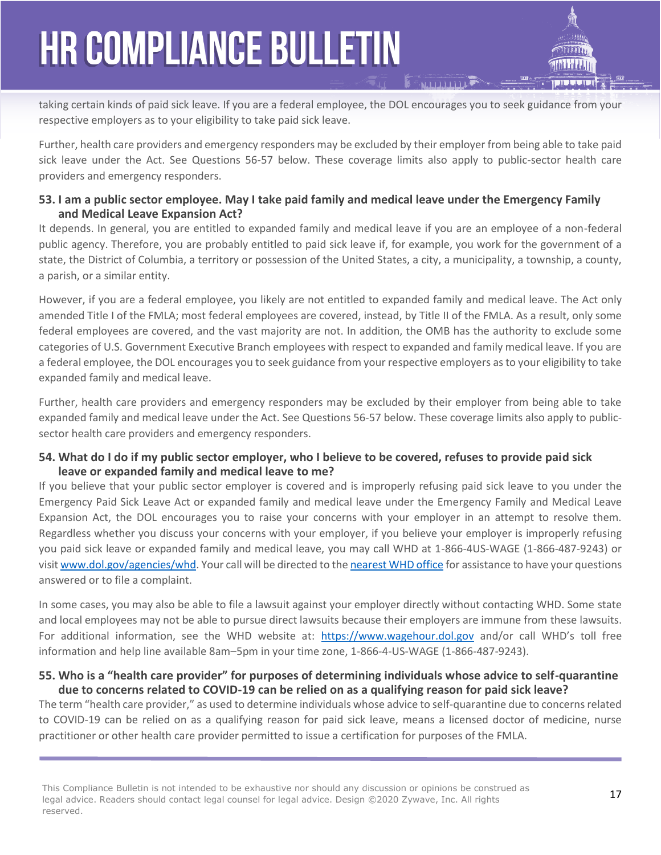taking certain kinds of paid sick leave. If you are a federal employee, the DOL encourages you to seek guidance from your respective employers as to your eligibility to take paid sick leave.

Further, health care providers and emergency responders may be excluded by their employer from being able to take paid sick leave under the Act. See Questions 56-57 below. These coverage limits also apply to public-sector health care providers and emergency responders.

#### **53. I am a public sector employee. May I take paid family and medical leave under the Emergency Family and Medical Leave Expansion Act?**

It depends. In general, you are entitled to expanded family and medical leave if you are an employee of a non-federal public agency. Therefore, you are probably entitled to paid sick leave if, for example, you work for the government of a state, the District of Columbia, a territory or possession of the United States, a city, a municipality, a township, a county, a parish, or a similar entity.

However, if you are a federal employee, you likely are not entitled to expanded family and medical leave. The Act only amended Title I of the FMLA; most federal employees are covered, instead, by Title II of the FMLA. As a result, only some federal employees are covered, and the vast majority are not. In addition, the OMB has the authority to exclude some categories of U.S. Government Executive Branch employees with respect to expanded and family medical leave. If you are a federal employee, the DOL encourages you to seek guidance from your respective employers as to your eligibility to take expanded family and medical leave.

Further, health care providers and emergency responders may be excluded by their employer from being able to take expanded family and medical leave under the Act. See Questions 56-57 below. These coverage limits also apply to publicsector health care providers and emergency responders.

#### **54. What do I do if my public sector employer, who I believe to be covered, refuses to provide paid sick leave or expanded family and medical leave to me?**

If you believe that your public sector employer is covered and is improperly refusing paid sick leave to you under the Emergency Paid Sick Leave Act or expanded family and medical leave under the Emergency Family and Medical Leave Expansion Act, the DOL encourages you to raise your concerns with your employer in an attempt to resolve them. Regardless whether you discuss your concerns with your employer, if you believe your employer is improperly refusing you paid sick leave or expanded family and medical leave, you may call WHD at 1-866-4US-WAGE (1-866-487-9243) or visit [www.dol.gov/agencies/whd.](http://www.dol.gov/agencies/whd) Your call will be directed to the [nearest WHD office](https://www.dol.gov/agencies/whd/contact/local-offices) for assistance to have your questions answered or to file a complaint.

In some cases, you may also be able to file a lawsuit against your employer directly without contacting WHD. Some state and local employees may not be able to pursue direct lawsuits because their employers are immune from these lawsuits. For additional information, see the WHD website at: [https://www.wagehour.dol.gov](https://www.wagehour.dol.gov/) and/or call WHD's toll free information and help line available 8am–5pm in your time zone, 1-866-4-US-WAGE (1-866-487-9243).

#### **55. Who is a "health care provider" for purposes of determining individuals whose advice to self-quarantine due to concerns related to COVID-19 can be relied on as a qualifying reason for paid sick leave?**

The term "health care provider," as used to determine individuals whose advice to self-quarantine due to concerns related to COVID-19 can be relied on as a qualifying reason for paid sick leave, means a licensed doctor of medicine, nurse practitioner or other health care provider permitted to issue a certification for purposes of the FMLA.

This Compliance Bulletin is not intended to be exhaustive nor should any discussion or opinions be construed as<br>Lead advise Readers should agricult as superfections of the lead internal advise. Reaism 20000 7s uses the All legal advice. Readers should contact legal counsel for legal advice. Design ©2020 Zywave, Inc. All rights reserved.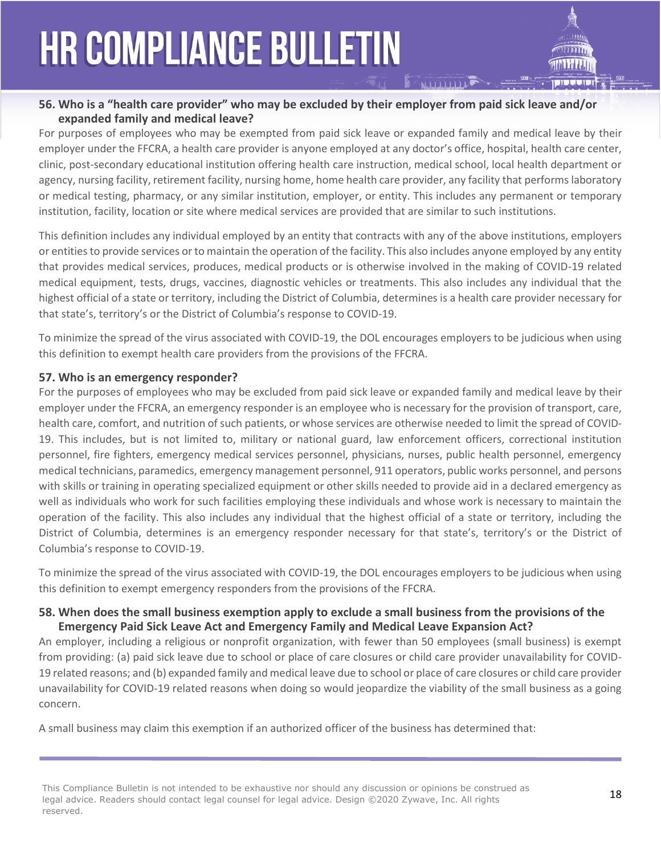#### **56. Who is a "health care provider" who may be excluded by their employer from paid sick leave and/or expanded family and medical leave?**

For purposes of employees who may be exempted from paid sick leave or expanded family and medical leave by their employer under the FFCRA, a health care provider is anyone employed at any doctor's office, hospital, health care center, clinic, post-secondary educational institution offering health care instruction, medical school, local health department or agency, nursing facility, retirement facility, nursing home, home health care provider, any facility that performs laboratory or medical testing, pharmacy, or any similar institution, employer, or entity. This includes any permanent or temporary institution, facility, location or site where medical services are provided that are similar to such institutions.

This definition includes any individual employed by an entity that contracts with any of the above institutions, employers or entities to provide services or to maintain the operation of the facility. This also includes anyone employed by any entity that provides medical services, produces, medical products or is otherwise involved in the making of COVID-19 related medical equipment, tests, drugs, vaccines, diagnostic vehicles or treatments. This also includes any individual that the highest official of a state or territory, including the District of Columbia, determines is a health care provider necessary for that state's, territory's or the District of Columbia's response to COVID-19.

To minimize the spread of the virus associated with COVID-19, the DOL encourages employers to be judicious when using this definition to exempt health care providers from the provisions of the FFCRA.

#### **57. Who is an emergency responder?**

For the purposes of employees who may be excluded from paid sick leave or expanded family and medical leave by their employer under the FFCRA, an emergency responder is an employee who is necessary for the provision of transport, care, health care, comfort, and nutrition of such patients, or whose services are otherwise needed to limit the spread of COVID-19. This includes, but is not limited to, military or national guard, law enforcement officers, correctional institution personnel, fire fighters, emergency medical services personnel, physicians, nurses, public health personnel, emergency medical technicians, paramedics, emergency management personnel, 911 operators, public works personnel, and persons with skills or training in operating specialized equipment or other skills needed to provide aid in a declared emergency as well as individuals who work for such facilities employing these individuals and whose work is necessary to maintain the operation of the facility. This also includes any individual that the highest official of a state or territory, including the District of Columbia, determines is an emergency responder necessary for that state's, territory's or the District of Columbia's response to COVID-19.

To minimize the spread of the virus associated with COVID-19, the DOL encourages employers to be judicious when using this definition to exempt emergency responders from the provisions of the FFCRA.

#### **58. When does the small business exemption apply to exclude a small business from the provisions of the Emergency Paid Sick Leave Act and Emergency Family and Medical Leave Expansion Act?**

An employer, including a religious or nonprofit organization, with fewer than 50 employees (small business) is exempt from providing: (a) paid sick leave due to school or place of care closures or child care provider unavailability for COVID-19 related reasons; and (b) expanded family and medical leave due to school or place of care closures or child care provider unavailability for COVID-19 related reasons when doing so would jeopardize the viability of the small business as a going concern.

A small business may claim this exemption if an authorized officer of the business has determined that:

This Compliance Bulletin is not intended to be exhaustive nor should any discussion or opinions be construed as<br>Lead advise Readers should agricult as superfections of the lead ideas. Realize 20000 7 www. The All wishts legal advice. Readers should contact legal counsel for legal advice. Design ©2020 Zywave, Inc. All rights reserved.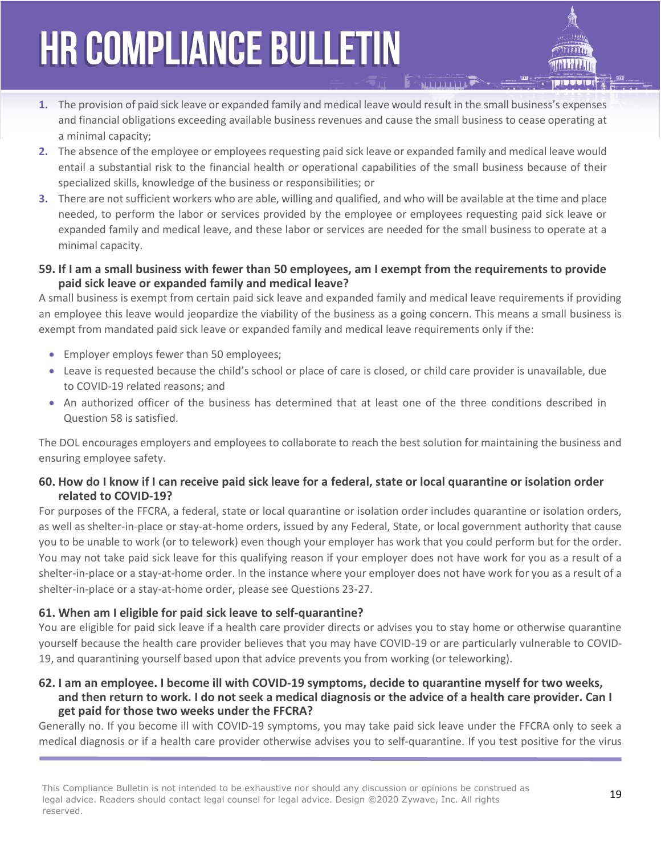- **1.** The provision of paid sick leave or expanded family and medical leave would result in the small business's expenses and financial obligations exceeding available business revenues and cause the small business to cease operating at a minimal capacity;
- **2.** The absence of the employee or employees requesting paid sick leave or expanded family and medical leave would entail a substantial risk to the financial health or operational capabilities of the small business because of their specialized skills, knowledge of the business or responsibilities; or
- **3.** There are not sufficient workers who are able, willing and qualified, and who will be available at the time and place needed, to perform the labor or services provided by the employee or employees requesting paid sick leave or expanded family and medical leave, and these labor or services are needed for the small business to operate at a minimal capacity.
- **59. If I am a small business with fewer than 50 employees, am I exempt from the requirements to provide paid sick leave or expanded family and medical leave?**

A small business is exempt from certain paid sick leave and expanded family and medical leave requirements if providing an employee this leave would jeopardize the viability of the business as a going concern. This means a small business is exempt from mandated paid sick leave or expanded family and medical leave requirements only if the:

- Employer employs fewer than 50 employees;
- Leave is requested because the child's school or place of care is closed, or child care provider is unavailable, due to COVID-19 related reasons; and
- An authorized officer of the business has determined that at least one of the three conditions described in Question 58 is satisfied.

The DOL encourages employers and employees to collaborate to reach the best solution for maintaining the business and ensuring employee safety.

#### **60. How do I know if I can receive paid sick leave for a federal, state or local quarantine or isolation order related to COVID-19?**

For purposes of the FFCRA, a federal, state or local quarantine or isolation order includes quarantine or isolation orders, as well as shelter-in-place or stay-at-home orders, issued by any Federal, State, or local government authority that cause you to be unable to work (or to telework) even though your employer has work that you could perform but for the order. You may not take paid sick leave for this qualifying reason if your employer does not have work for you as a result of a shelter-in-place or a stay-at-home order. In the instance where your employer does not have work for you as a result of a shelter-in-place or a stay-at-home order, please see Questions 23-27.

#### **61. When am I eligible for paid sick leave to self-quarantine?**

You are eligible for paid sick leave if a health care provider directs or advises you to stay home or otherwise quarantine yourself because the health care provider believes that you may have COVID-19 or are particularly vulnerable to COVID-19, and quarantining yourself based upon that advice prevents you from working (or teleworking).

#### **62. I am an employee. I become ill with COVID-19 symptoms, decide to quarantine myself for two weeks, and then return to work. I do not seek a medical diagnosis or the advice of a health care provider. Can I get paid for those two weeks under the FFCRA?**

Generally no. If you become ill with COVID-19 symptoms, you may take paid sick leave under the FFCRA only to seek a medical diagnosis or if a health care provider otherwise advises you to self-quarantine. If you test positive for the virus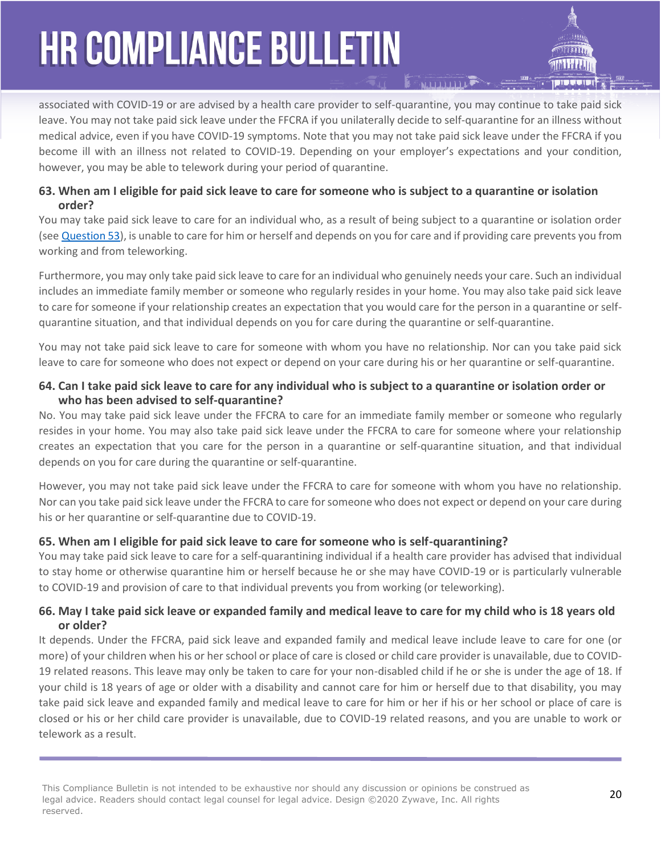associated with COVID-19 or are advised by a health care provider to self-quarantine, you may continue to take paid sick leave. You may not take paid sick leave under the FFCRA if you unilaterally decide to self-quarantine for an illness without medical advice, even if you have COVID-19 symptoms. Note that you may not take paid sick leave under the FFCRA if you become ill with an illness not related to COVID-19. Depending on your employer's expectations and your condition, however, you may be able to telework during your period of quarantine.

#### **63. When am I eligible for paid sick leave to care for someone who is subject to a quarantine or isolation order?**

You may take paid sick leave to care for an individual who, as a result of being subject to a quarantine or isolation order (see [Question 53\)](https://www.dol.gov/agencies/whd/pandemic/ffcra-questions#53), is unable to care for him or herself and depends on you for care and if providing care prevents you from working and from teleworking.

Furthermore, you may only take paid sick leave to care for an individual who genuinely needs your care. Such an individual includes an immediate family member or someone who regularly resides in your home. You may also take paid sick leave to care for someone if your relationship creates an expectation that you would care for the person in a quarantine or selfquarantine situation, and that individual depends on you for care during the quarantine or self-quarantine.

You may not take paid sick leave to care for someone with whom you have no relationship. Nor can you take paid sick leave to care for someone who does not expect or depend on your care during his or her quarantine or self-quarantine.

#### **64. Can I take paid sick leave to care for any individual who is subject to a quarantine or isolation order or who has been advised to self-quarantine?**

No. You may take paid sick leave under the FFCRA to care for an immediate family member or someone who regularly resides in your home. You may also take paid sick leave under the FFCRA to care for someone where your relationship creates an expectation that you care for the person in a quarantine or self-quarantine situation, and that individual depends on you for care during the quarantine or self-quarantine.

However, you may not take paid sick leave under the FFCRA to care for someone with whom you have no relationship. Nor can you take paid sick leave under the FFCRA to care for someone who does not expect or depend on your care during his or her quarantine or self-quarantine due to COVID-19.

#### **65. When am I eligible for paid sick leave to care for someone who is self-quarantining?**

You may take paid sick leave to care for a self-quarantining individual if a health care provider has advised that individual to stay home or otherwise quarantine him or herself because he or she may have COVID-19 or is particularly vulnerable to COVID-19 and provision of care to that individual prevents you from working (or teleworking).

#### **66. May I take paid sick leave or expanded family and medical leave to care for my child who is 18 years old or older?**

It depends. Under the FFCRA, paid sick leave and expanded family and medical leave include leave to care for one (or more) of your children when his or her school or place of care is closed or child care provider is unavailable, due to COVID-19 related reasons. This leave may only be taken to care for your non-disabled child if he or she is under the age of 18. If your child is 18 years of age or older with a disability and cannot care for him or herself due to that disability, you may take paid sick leave and expanded family and medical leave to care for him or her if his or her school or place of care is closed or his or her child care provider is unavailable, due to COVID-19 related reasons, and you are unable to work or telework as a result.

This Compliance Bulletin is not intended to be exhaustive nor should any discussion or opinions be construed as **20**<br>Lead advise Readers should agricultured as weak for lead advise. Realize 20000 7s weak, Inc. All wishes legal advice. Readers should contact legal counsel for legal advice. Design ©2020 Zywave, Inc. All rights reserved.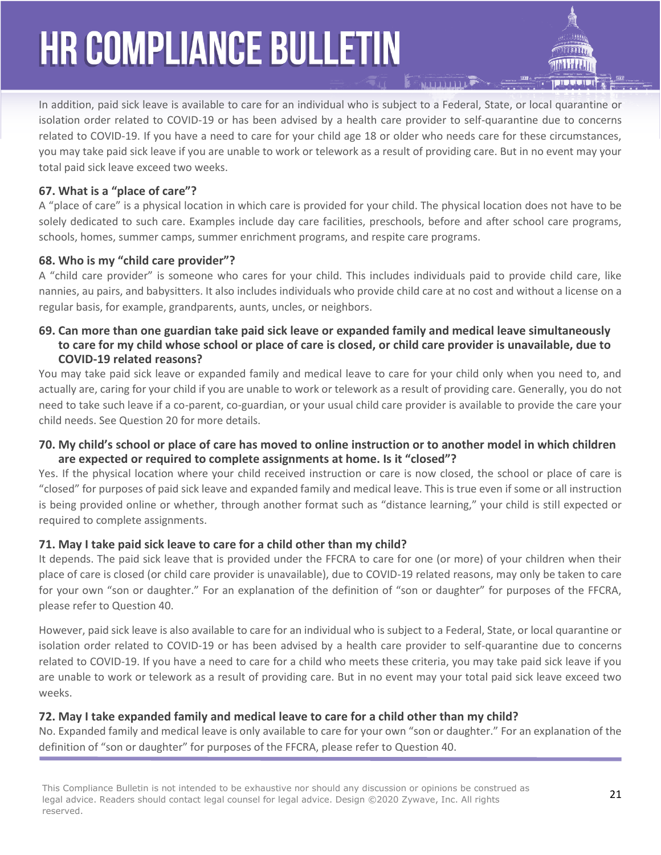In addition, paid sick leave is available to care for an individual who is subject to a Federal, State, or local quarantine or isolation order related to COVID-19 or has been advised by a health care provider to self-quarantine due to concerns related to COVID-19. If you have a need to care for your child age 18 or older who needs care for these circumstances, you may take paid sick leave if you are unable to work or telework as a result of providing care. But in no event may your total paid sick leave exceed two weeks.

#### **67. What is a "place of care"?**

A "place of care" is a physical location in which care is provided for your child. The physical location does not have to be solely dedicated to such care. Examples include day care facilities, preschools, before and after school care programs, schools, homes, summer camps, summer enrichment programs, and respite care programs.

#### **68. Who is my "child care provider"?**

A "child care provider" is someone who cares for your child. This includes individuals paid to provide child care, like nannies, au pairs, and babysitters. It also includes individuals who provide child care at no cost and without a license on a regular basis, for example, grandparents, aunts, uncles, or neighbors.

#### **69. Can more than one guardian take paid sick leave or expanded family and medical leave simultaneously to care for my child whose school or place of care is closed, or child care provider is unavailable, due to COVID-19 related reasons?**

You may take paid sick leave or expanded family and medical leave to care for your child only when you need to, and actually are, caring for your child if you are unable to work or telework as a result of providing care. Generally, you do not need to take such leave if a co-parent, co-guardian, or your usual child care provider is available to provide the care your child needs. See Question 20 for more details.

#### **70. My child's school or place of care has moved to online instruction or to another model in which children are expected or required to complete assignments at home. Is it "closed"?**

Yes. If the physical location where your child received instruction or care is now closed, the school or place of care is "closed" for purposes of paid sick leave and expanded family and medical leave. This is true even if some or all instruction is being provided online or whether, through another format such as "distance learning," your child is still expected or required to complete assignments.

#### **71. May I take paid sick leave to care for a child other than my child?**

It depends. The paid sick leave that is provided under the FFCRA to care for one (or more) of your children when their place of care is closed (or child care provider is unavailable), due to COVID-19 related reasons, may only be taken to care for your own "son or daughter." For an explanation of the definition of "son or daughter" for purposes of the FFCRA, please refer to Question 40.

However, paid sick leave is also available to care for an individual who is subject to a Federal, State, or local quarantine or isolation order related to COVID-19 or has been advised by a health care provider to self-quarantine due to concerns related to COVID-19. If you have a need to care for a child who meets these criteria, you may take paid sick leave if you are unable to work or telework as a result of providing care. But in no event may your total paid sick leave exceed two weeks.

#### **72. May I take expanded family and medical leave to care for a child other than my child?**

No. Expanded family and medical leave is only available to care for your own "son or daughter." For an explanation of the definition of "son or daughter" for purposes of the FFCRA, please refer to Question 40.

This Compliance Bulletin is not intended to be exhaustive nor should any discussion or opinions be construed as **21** and the problem of the state of the state of the state of the state of the state of the state of the stat legal advice. Readers should contact legal counsel for legal advice. Design ©2020 Zywave, Inc. All rights reserved.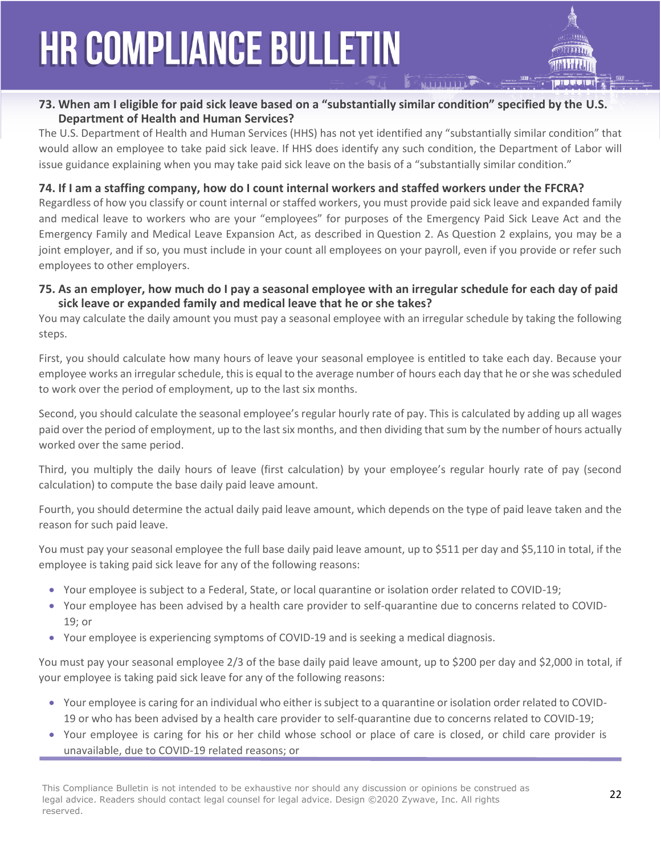#### **73. When am I eligible for paid sick leave based on a "substantially similar condition" specified by the U.S. Department of Health and Human Services?**

The U.S. Department of Health and Human Services (HHS) has not yet identified any "substantially similar condition" that would allow an employee to take paid sick leave. If HHS does identify any such condition, the Department of Labor will issue guidance explaining when you may take paid sick leave on the basis of a "substantially similar condition."

#### **74. If I am a staffing company, how do I count internal workers and staffed workers under the FFCRA?**

Regardless of how you classify or count internal or staffed workers, you must provide paid sick leave and expanded family and medical leave to workers who are your "employees" for purposes of the Emergency Paid Sick Leave Act and the Emergency Family and Medical Leave Expansion Act, as described in Question 2. As Question 2 explains, you may be a joint employer, and if so, you must include in your count all employees on your payroll, even if you provide or refer such employees to other employers.

#### **75. As an employer, how much do I pay a seasonal employee with an irregular schedule for each day of paid sick leave or expanded family and medical leave that he or she takes?**

You may calculate the daily amount you must pay a seasonal employee with an irregular schedule by taking the following steps.

First, you should calculate how many hours of leave your seasonal employee is entitled to take each day. Because your employee works an irregular schedule, this is equal to the average number of hours each day that he or she was scheduled to work over the period of employment, up to the last six months.

Second, you should calculate the seasonal employee's regular hourly rate of pay. This is calculated by adding up all wages paid over the period of employment, up to the last six months, and then dividing that sum by the number of hours actually worked over the same period.

Third, you multiply the daily hours of leave (first calculation) by your employee's regular hourly rate of pay (second calculation) to compute the base daily paid leave amount.

Fourth, you should determine the actual daily paid leave amount, which depends on the type of paid leave taken and the reason for such paid leave.

You must pay your seasonal employee the full base daily paid leave amount, up to \$511 per day and \$5,110 in total, if the employee is taking paid sick leave for any of the following reasons:

- Your employee is subject to a Federal, State, or local quarantine or isolation order related to COVID-19;
- Your employee has been advised by a health care provider to self-quarantine due to concerns related to COVID-19; or
- Your employee is experiencing symptoms of COVID-19 and is seeking a medical diagnosis.

You must pay your seasonal employee 2/3 of the base daily paid leave amount, up to \$200 per day and \$2,000 in total, if your employee is taking paid sick leave for any of the following reasons:

- Your employee is caring for an individual who either is subject to a quarantine or isolation order related to COVID-19 or who has been advised by a health care provider to self-quarantine due to concerns related to COVID-19;
- Your employee is caring for his or her child whose school or place of care is closed, or child care provider is unavailable, due to COVID-19 related reasons; or

This Compliance Bulletin is not intended to be exhaustive nor should any discussion or opinions be construed as<br>Lead advise Readers should agricult as superfections of the lead ideas. Realize 20000 7 www. The All wishts legal advice. Readers should contact legal counsel for legal advice. Design ©2020 Zywave, Inc. All rights reserved.